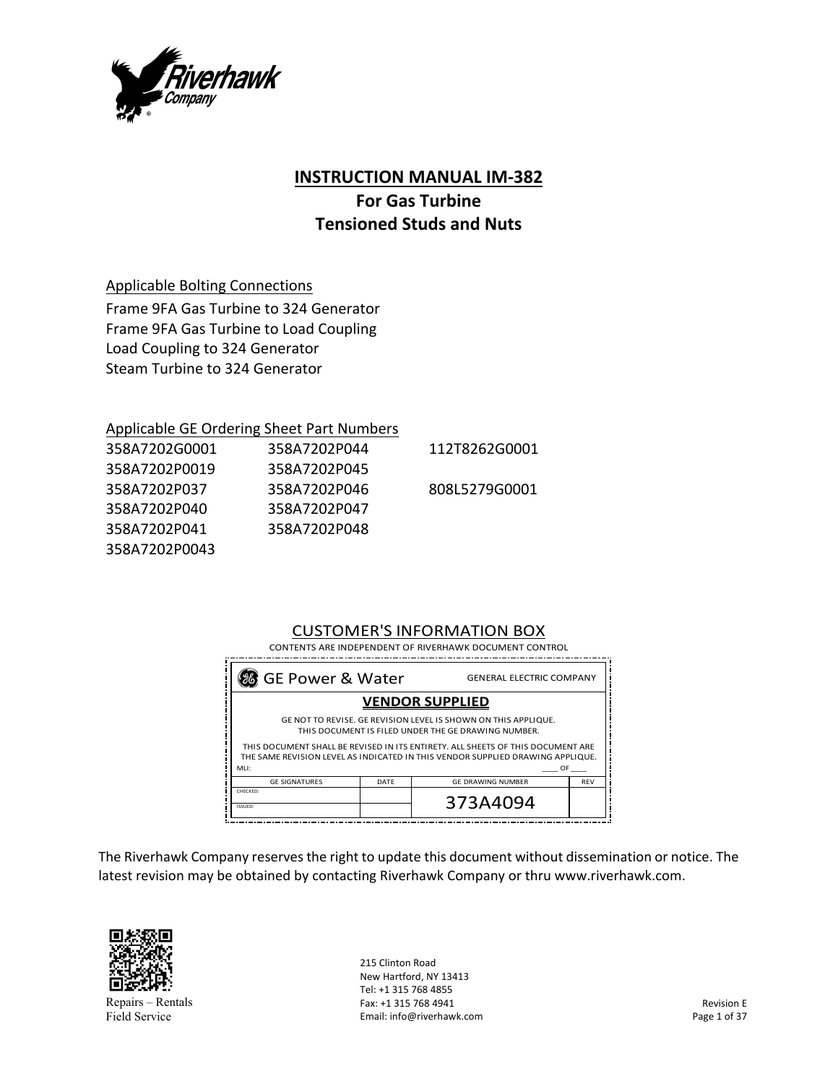

# **INSTRUCTION MANUAL IM‐382**

# **For Gas Turbine Tensioned Studs and Nuts**

Applicable Bolting Connections

Frame 9FA Gas Turbine to 324 Generator Frame 9FA Gas Turbine to Load Coupling Load Coupling to 324 Generator Steam Turbine to 324 Generator

### Applicable GE Ordering Sheet Part Numbers

| 358A7202G0001 | 358A7202P044 | 112T8262G0001 |
|---------------|--------------|---------------|
| 358A7202P0019 | 358A7202P045 |               |
| 358A7202P037  | 358A7202P046 | 808L5279G0001 |
| 358A7202P040  | 358A7202P047 |               |
| 358A7202P041  | 358A7202P048 |               |
| 358A7202P0043 |              |               |

# CUSTOMER'S INFORMATION BOX

| CONTENTS ARE INDEPENDENT OF RIVERHAWK DOCUMENT CONTROL                                                                                                            |      |                          |            |  |
|-------------------------------------------------------------------------------------------------------------------------------------------------------------------|------|--------------------------|------------|--|
| 88 GE Power & Water<br><b>GENERAL ELECTRIC COMPANY</b>                                                                                                            |      |                          |            |  |
| <b>VENDOR SUPPLIED</b>                                                                                                                                            |      |                          |            |  |
| GE NOT TO REVISE. GE REVISION LEVEL IS SHOWN ON THIS APPLIQUE.<br>THIS DOCUMENT IS FILED UNDER THE GE DRAWING NUMBER.                                             |      |                          |            |  |
| THIS DOCUMENT SHALL BE REVISED IN ITS ENTIRETY. ALL SHEETS OF THIS DOCUMENT ARE<br>THE SAME REVISION LEVEL AS INDICATED IN THIS VENDOR SUPPLIED DRAWING APPLIQUE. |      |                          |            |  |
| MH:<br>OF                                                                                                                                                         |      |                          |            |  |
| <b>GE SIGNATURES</b>                                                                                                                                              | DATF | <b>GE DRAWING NUMBER</b> | <b>REV</b> |  |
| CHECKED:<br>373A4094<br>ISSUED:                                                                                                                                   |      |                          |            |  |
|                                                                                                                                                                   |      |                          |            |  |

The Riverhawk Company reserves the right to update this document without dissemination or notice. The latest revision may be obtained by contacting Riverhawk Company or thru www.riverhawk.com.



Repairs – Rentals Field Service

215 Clinton Road New Hartford, NY 13413 Tel: +1 315 768 4855 Fax: +1 315 768 4941 Email: info@riverhawk.com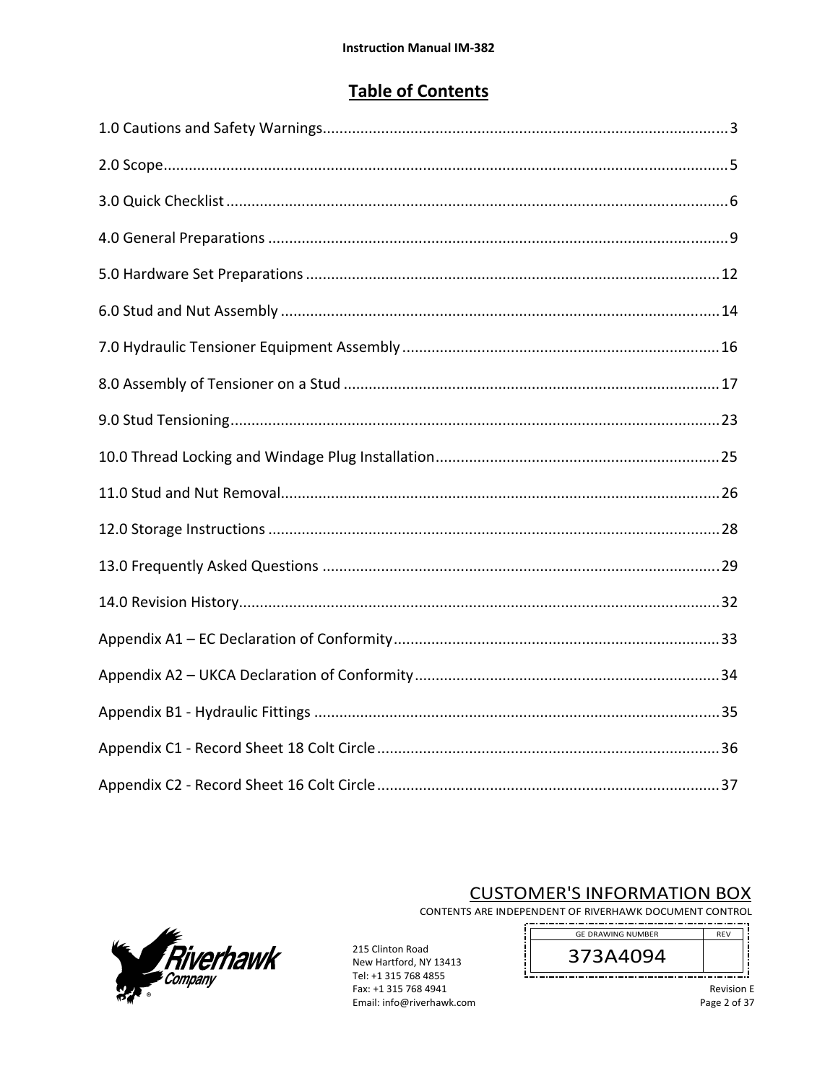# **Table of Contents**



# **CUSTOMER'S INFORMATION BOX**

CONTENTS ARE INDEPENDENT OF RIVERHAWK DOCUMENT CONTROL \_.\_.\_.\_.\_.\_.\_.\_.\_.

į

215 Clinton Road New Hartford, NY 13413 Tel: +1 315 768 4855 Fax: +1 315 768 4941 Email: info@riverhawk.com

**GE DRAWING NUMBER REV** 373A4094 

> Revision E Page 2 of 37

u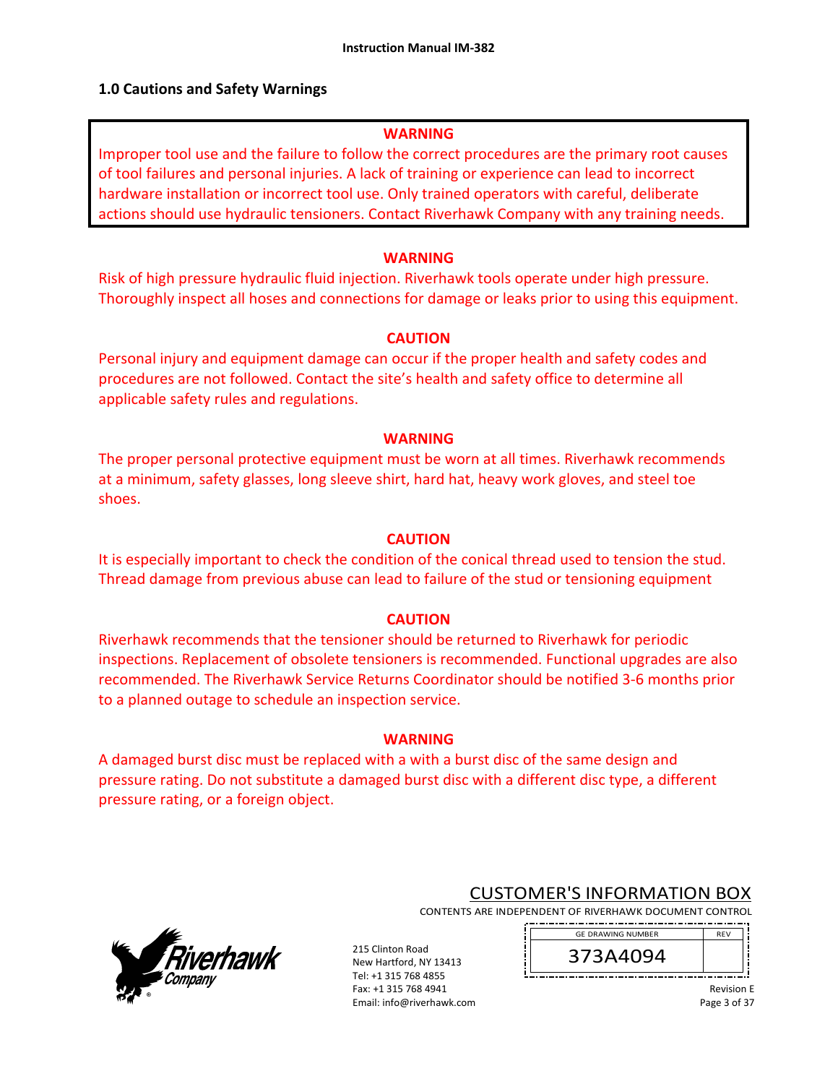# **1.0 Cautions and Safety Warnings**

### **WARNING**

Improper tool use and the failure to follow the correct procedures are the primary root causes of tool failures and personal injuries. A lack of training or experience can lead to incorrect hardware installation or incorrect tool use. Only trained operators with careful, deliberate actions should use hydraulic tensioners. Contact Riverhawk Company with any training needs.

## **WARNING**

Risk of high pressure hydraulic fluid injection. Riverhawk tools operate under high pressure. Thoroughly inspect all hoses and connections for damage or leaks prior to using this equipment.

# **CAUTION**

Personal injury and equipment damage can occur if the proper health and safety codes and procedures are not followed. Contact the site's health and safety office to determine all applicable safety rules and regulations.

# **WARNING**

The proper personal protective equipment must be worn at all times. Riverhawk recommends at a minimum, safety glasses, long sleeve shirt, hard hat, heavy work gloves, and steel toe shoes.

# **CAUTION**

It is especially important to check the condition of the conical thread used to tension the stud. Thread damage from previous abuse can lead to failure of the stud or tensioning equipment

# **CAUTION**

Riverhawk recommends that the tensioner should be returned to Riverhawk for periodic inspections. Replacement of obsolete tensioners is recommended. Functional upgrades are also recommended. The Riverhawk Service Returns Coordinator should be notified 3‐6 months prior to a planned outage to schedule an inspection service.

### **WARNING**

A damaged burst disc must be replaced with a with a burst disc of the same design and pressure rating. Do not substitute a damaged burst disc with a different disc type, a different pressure rating, or a foreign object.



# CUSTOMER'S INFORMATION BOX

CONTENTS ARE INDEPENDENT OF RIVERHAWK DOCUMENT CONTROL ------------------

215 Clinton Road New Hartford, NY 13413 Tel: +1 315 768 4855 Fax: +1 315 768 4941 Email: info@riverhawk.com 373A4094 GE DRAWING NUMBER

> Revision E Page 3 of 37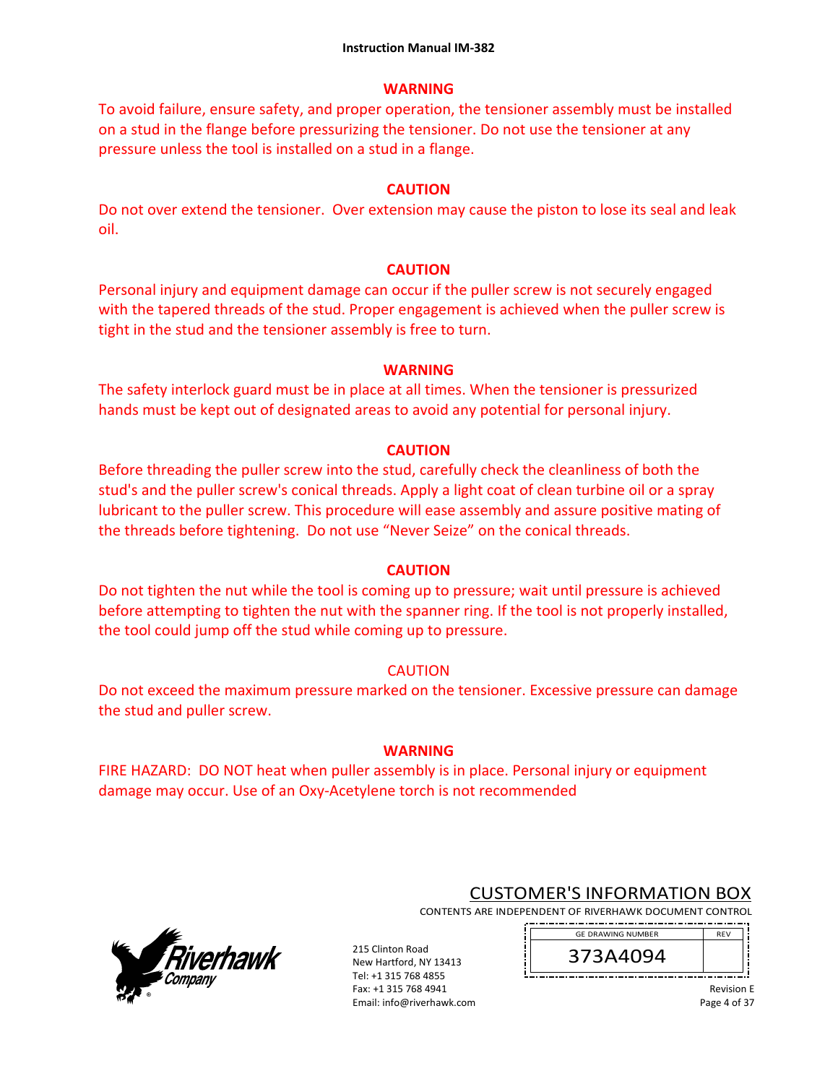## **WARNING**

To avoid failure, ensure safety, and proper operation, the tensioner assembly must be installed on a stud in the flange before pressurizing the tensioner. Do not use the tensioner at any pressure unless the tool is installed on a stud in a flange.

# **CAUTION**

Do not over extend the tensioner. Over extension may cause the piston to lose its seal and leak oil.

# **CAUTION**

Personal injury and equipment damage can occur if the puller screw is not securely engaged with the tapered threads of the stud. Proper engagement is achieved when the puller screw is tight in the stud and the tensioner assembly is free to turn.

# **WARNING**

The safety interlock guard must be in place at all times. When the tensioner is pressurized hands must be kept out of designated areas to avoid any potential for personal injury.

# **CAUTION**

Before threading the puller screw into the stud, carefully check the cleanliness of both the stud's and the puller screw's conical threads. Apply a light coat of clean turbine oil or a spray lubricant to the puller screw. This procedure will ease assembly and assure positive mating of the threads before tightening. Do not use "Never Seize" on the conical threads.

### **CAUTION**

Do not tighten the nut while the tool is coming up to pressure; wait until pressure is achieved before attempting to tighten the nut with the spanner ring. If the tool is not properly installed, the tool could jump off the stud while coming up to pressure.

# **CAUTION**

Do not exceed the maximum pressure marked on the tensioner. Excessive pressure can damage the stud and puller screw.

# **WARNING**

FIRE HAZARD: DO NOT heat when puller assembly is in place. Personal injury or equipment damage may occur. Use of an Oxy‐Acetylene torch is not recommended



# CUSTOMER'S INFORMATION BOX

CONTENTS ARE INDEPENDENT OF RIVERHAWK DOCUMENT CONTROL 

215 Clinton Road New Hartford, NY 13413 Tel: +1 315 768 4855 Fax: +1 315 768 4941 Email: info@riverhawk.com 373A4094 GE DRAWING NUMBER

> Revision E Page 4 of 37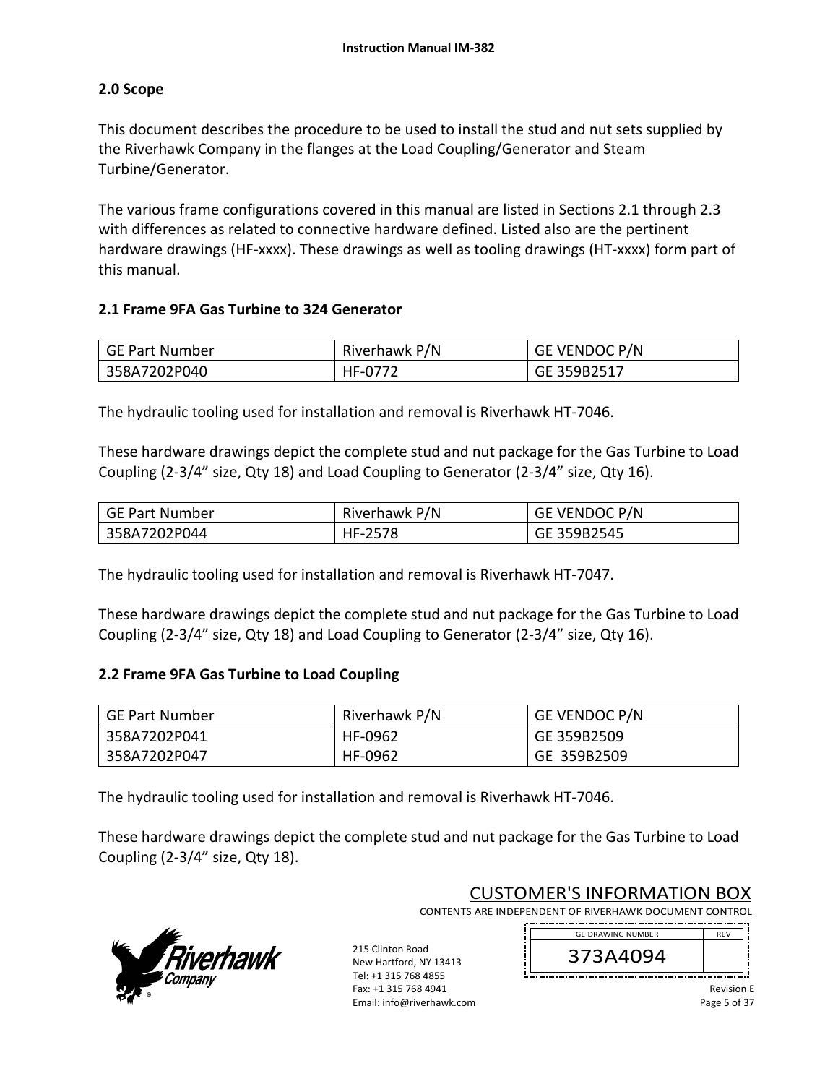# **2.0 Scope**

This document describes the procedure to be used to install the stud and nut sets supplied by the Riverhawk Company in the flanges at the Load Coupling/Generator and Steam Turbine/Generator.

The various frame configurations covered in this manual are listed in Sections 2.1 through 2.3 with differences as related to connective hardware defined. Listed also are the pertinent hardware drawings (HF-xxxx). These drawings as well as tooling drawings (HT-xxxx) form part of this manual.

# **2.1 Frame 9FA Gas Turbine to 324 Generator**

| GE Part Number | Riverhawk P/N | <b>GE VENDOC P/N</b> |
|----------------|---------------|----------------------|
| 358A7202P040   | HF-0772       | GE 359B2517          |

The hydraulic tooling used for installation and removal is Riverhawk HT‐7046.

These hardware drawings depict the complete stud and nut package for the Gas Turbine to Load Coupling (2‐3/4" size, Qty 18) and Load Coupling to Generator (2‐3/4" size, Qty 16).

| GE Part Number | Riverhawk P/N | GE VENDOC P/N |
|----------------|---------------|---------------|
| 358A7202P044   | HF-2578       | GE 359B2545   |

The hydraulic tooling used for installation and removal is Riverhawk HT‐7047.

These hardware drawings depict the complete stud and nut package for the Gas Turbine to Load Coupling (2‐3/4" size, Qty 18) and Load Coupling to Generator (2‐3/4" size, Qty 16).

# **2.2 Frame 9FA Gas Turbine to Load Coupling**

| GE Part Number | Riverhawk P/N | <b>GE VENDOC P/N</b> |
|----------------|---------------|----------------------|
| 358A7202P041   | HF-0962       | GE 359B2509          |
| 358A7202P047   | HF-0962       | GE 359B2509          |

The hydraulic tooling used for installation and removal is Riverhawk HT‐7046.

These hardware drawings depict the complete stud and nut package for the Gas Turbine to Load Coupling (2‐3/4" size, Qty 18).



CUSTOMER'S INFORMATION BOX

CONTENTS ARE INDEPENDENT OF RIVERHAWK DOCUMENT CONTROL 

215 Clinton Road New Hartford, NY 13413 Tel: +1 315 768 4855 Fax: +1 315 768 4941 Email: info@riverhawk.com



Revision E Page 5 of 37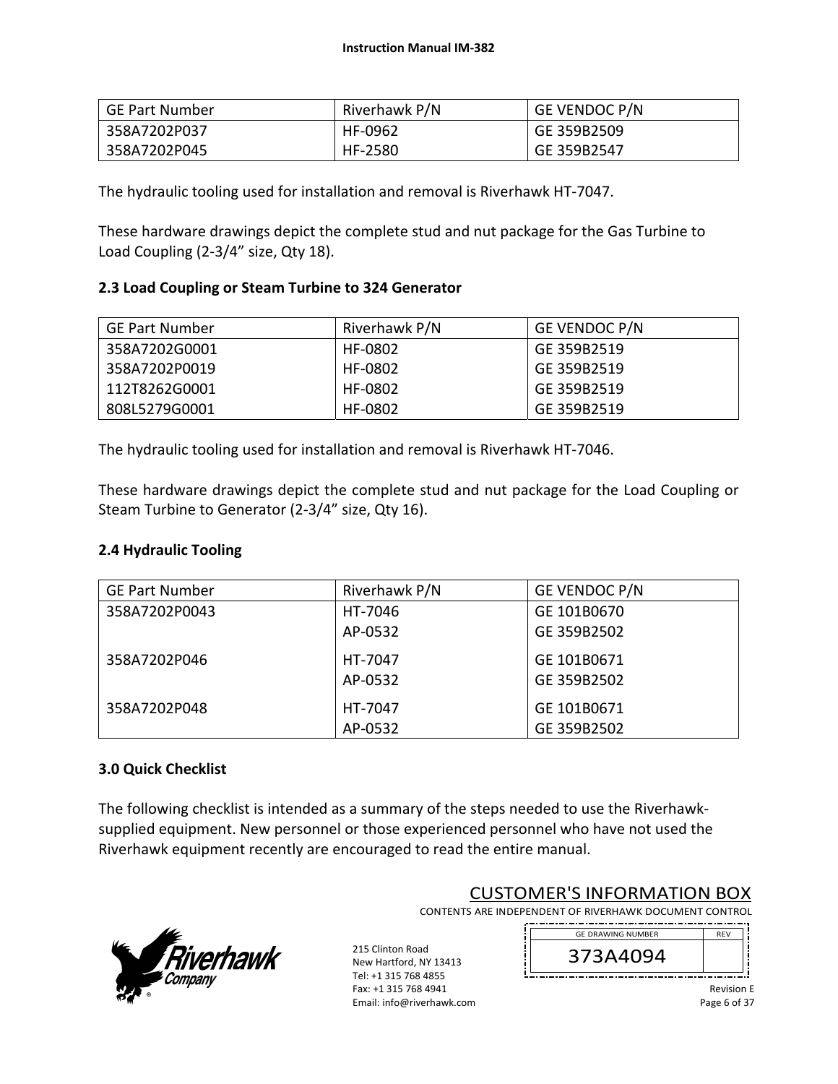| GE Part Number | Riverhawk P/N | <b>GE VENDOC P/N</b> |
|----------------|---------------|----------------------|
| 358A7202P037   | HF-0962       | GE 359B2509          |
| 358A7202P045   | HF-2580       | GE 359B2547          |

The hydraulic tooling used for installation and removal is Riverhawk HT‐7047.

These hardware drawings depict the complete stud and nut package for the Gas Turbine to Load Coupling (2‐3/4" size, Qty 18).

# **2.3 Load Coupling or Steam Turbine to 324 Generator**

| <b>GE Part Number</b> | Riverhawk P/N | <b>GE VENDOC P/N</b> |
|-----------------------|---------------|----------------------|
| 358A7202G0001         | HF-0802       | GE 359B2519          |
| 358A7202P0019         | HF-0802       | GE 359B2519          |
| 112T8262G0001         | HF-0802       | GE 359B2519          |
| 808L5279G0001         | HF-0802       | GE 359B2519          |

The hydraulic tooling used for installation and removal is Riverhawk HT‐7046.

These hardware drawings depict the complete stud and nut package for the Load Coupling or Steam Turbine to Generator (2‐3/4" size, Qty 16).

### **2.4 Hydraulic Tooling**

| <b>GE Part Number</b> | Riverhawk P/N | GE VENDOC P/N |
|-----------------------|---------------|---------------|
| 358A7202P0043         | HT-7046       | GE 101B0670   |
|                       | AP-0532       | GE 359B2502   |
| 358A7202P046          | HT-7047       | GE 101B0671   |
|                       | AP-0532       | GE 359B2502   |
| 358A7202P048          | HT-7047       | GE 101B0671   |
|                       | AP-0532       | GE 359B2502   |

### **3.0 Quick Checklist**

The following checklist is intended as a summary of the steps needed to use the Riverhawk‐ supplied equipment. New personnel or those experienced personnel who have not used the Riverhawk equipment recently are encouraged to read the entire manual.



CUSTOMER'S INFORMATION BOX

CONTENTS ARE INDEPENDENT OF RIVERHAWK DOCUMENT CONTROL . . . . . . . . . . . . . . . . . . .

215 Clinton Road New Hartford, NY 13413 Tel: +1 315 768 4855 Fax: +1 315 768 4941 Email: info@riverhawk.com



Revision E Page 6 of 37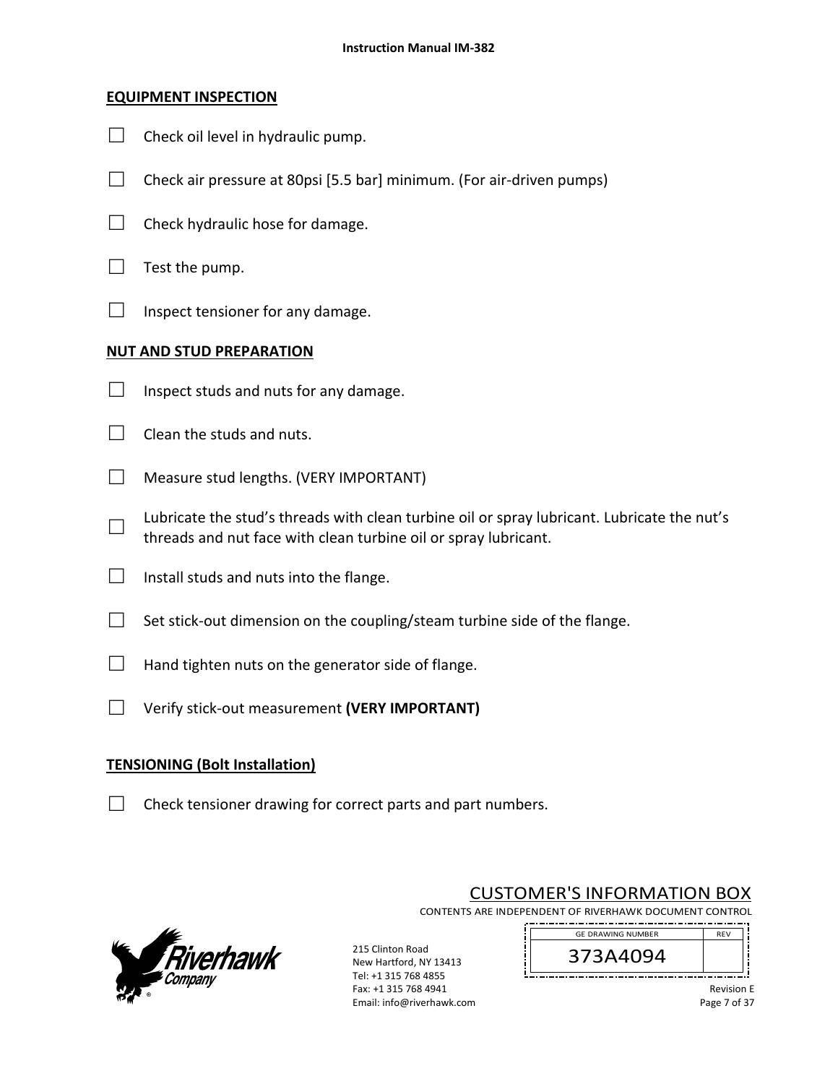# **EQUIPMENT INSPECTION**

- $\Box$  Check oil level in hydraulic pump.
- $\Box$  Check air pressure at 80psi [5.5 bar] minimum. (For air-driven pumps)
- $\Box$  Check hydraulic hose for damage.
- $\Box$  Test the pump.
- $\Box$  Inspect tensioner for any damage.

# **NUT AND STUD PREPARATION**

- $\Box$  Inspect studs and nuts for any damage.
- $\Box$  Clean the studs and nuts.
- □ Measure stud lengths. (VERY IMPORTANT)
- □ Lubricate the stud's threads with clean turbine oil or spray lubricant. Lubricate the nut's threads and nut face with clean turbine oil or spray lubricant.
- $\Box$  Install studs and nuts into the flange.
- $\Box$  Set stick-out dimension on the coupling/steam turbine side of the flange.
- $\Box$  Hand tighten nuts on the generator side of flange.
- □ Verify stick‐out measurement **(VERY IMPORTANT)**

# **TENSIONING (Bolt Installation)**

 $\Box$  Check tensioner drawing for correct parts and part numbers.



215 Clinton Road New Hartford, NY 13413 Tel: +1 315 768 4855 Fax: +1 315 768 4941 Email: info@riverhawk.com

CUSTOMER'S INFORMATION BOX

CONTENTS ARE INDEPENDENT OF RIVERHAWK DOCUMENT CONTROL ---------------



Revision E Page 7 of 37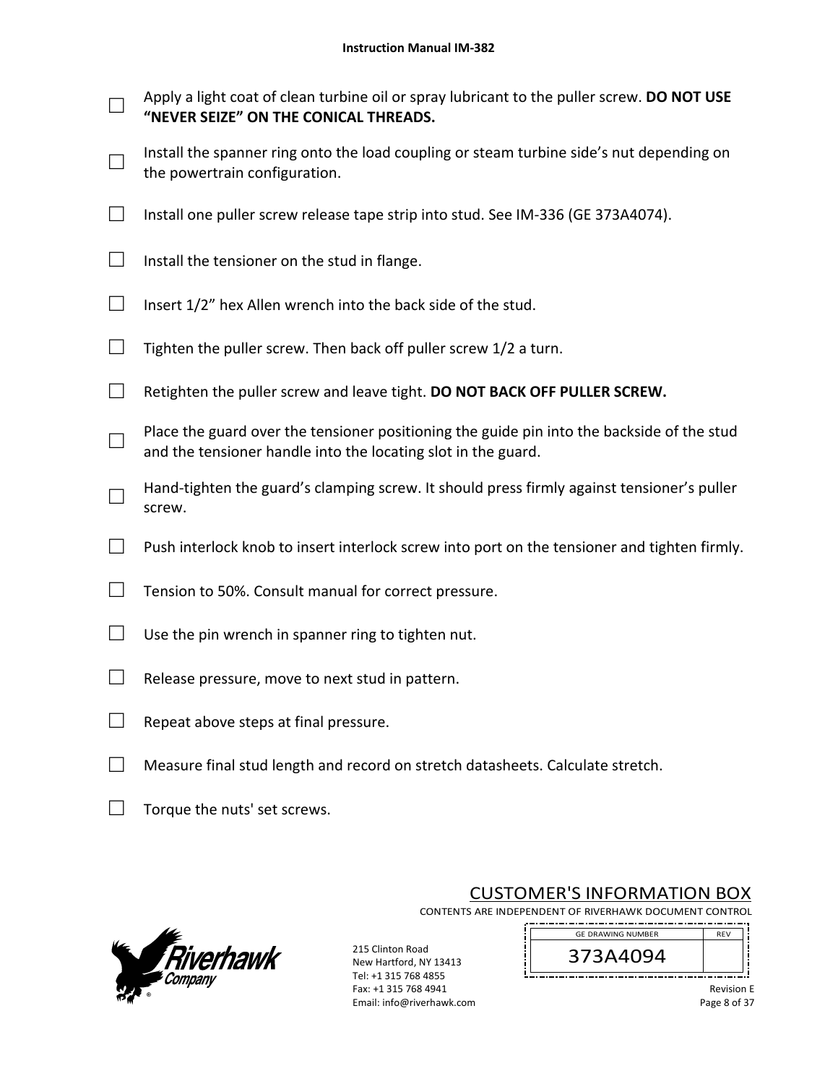- □ Apply a light coat of clean turbine oil or spray lubricant to the puller screw. **DO NOT USE "NEVER SEIZE" ON THE CONICAL THREADS.**
- □ Install the spanner ring onto the load coupling or steam turbine side's nut depending on the powertrain configuration.
- □ Install one puller screw release tape strip into stud. See IM‐336 (GE 373A4074).
- $\Box$  Install the tensioner on the stud in flange.
- $\Box$  Insert 1/2" hex Allen wrench into the back side of the stud.
- $\Box$  Tighten the puller screw. Then back off puller screw 1/2 a turn.
- □ Retighten the puller screw and leave tight. **DO NOT BACK OFF PULLER SCREW.**
- □ Place the guard over the tensioner positioning the guide pin into the backside of the stud and the tensioner handle into the locating slot in the guard.
- □ Hand-tighten the guard's clamping screw. It should press firmly against tensioner's puller screw.
- $\Box$  Push interlock knob to insert interlock screw into port on the tensioner and tighten firmly.
- $\Box$  Tension to 50%. Consult manual for correct pressure.
- $\Box$  Use the pin wrench in spanner ring to tighten nut.
- $\Box$  Release pressure, move to next stud in pattern.
- $\Box$  Repeat above steps at final pressure.
- $\Box$  Measure final stud length and record on stretch datasheets. Calculate stretch.
- $\Box$  Torque the nuts' set screws.



215 Clinton Road New Hartford, NY 13413 Tel: +1 315 768 4855 Fax: +1 315 768 4941 Email: info@riverhawk.com

CUSTOMER'S INFORMATION BOX

CONTENTS ARE INDEPENDENT OF RIVERHAWK DOCUMENT CONTROL 



Revision E Page 8 of 37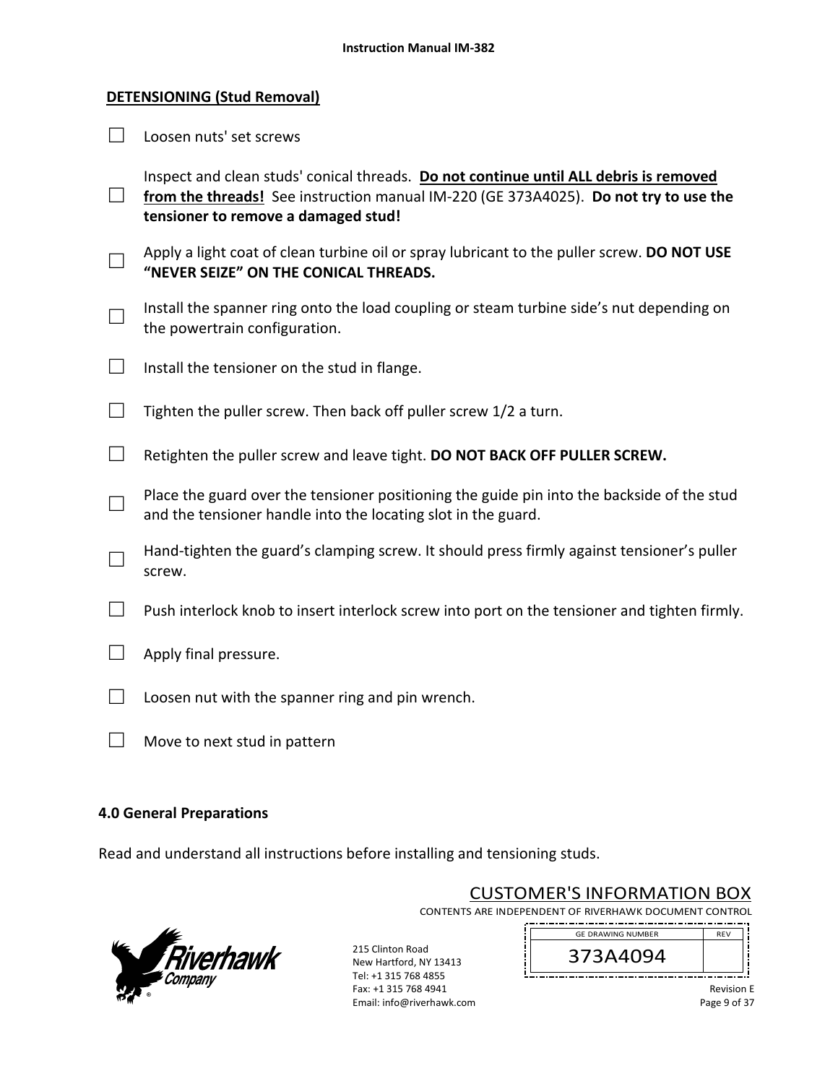#### **DETENSIONING (Stud Removal)**

□ Loosen nuts' set screws

□ from the threads! See instruction manual IM-220 (GE 373A4025). **Do not try to use the** Inspect and clean studs' conical threads. **Do not continue until ALL debris is removed tensioner to remove a damaged stud!**  □ Apply a light coat of clean turbine oil or spray lubricant to the puller screw. **DO NOT USE "NEVER SEIZE" ON THE CONICAL THREADS.** □ Install the spanner ring onto the load coupling or steam turbine side's nut depending on the powertrain configuration.

- $\Box$  Install the tensioner on the stud in flange.
- $\Box$  Tighten the puller screw. Then back off puller screw 1/2 a turn.
- □ Retighten the puller screw and leave tight. **DO NOT BACK OFF PULLER SCREW.**
- □ Place the guard over the tensioner positioning the guide pin into the backside of the stud and the tensioner handle into the locating slot in the guard.
- □ Hand-tighten the guard's clamping screw. It should press firmly against tensioner's puller screw.
- $\Box$  Push interlock knob to insert interlock screw into port on the tensioner and tighten firmly.
- $\Box$  Apply final pressure.
- $\Box$  Loosen nut with the spanner ring and pin wrench.
- $\Box$  Move to next stud in pattern

#### **4.0 General Preparations**

Read and understand all instructions before installing and tensioning studs.



215 Clinton Road New Hartford, NY 13413 Tel: +1 315 768 4855 Fax: +1 315 768 4941 Email: info@riverhawk.com

CUSTOMER'S INFORMATION BOX

CONTENTS ARE INDEPENDENT OF RIVERHAWK DOCUMENT CONTROL 

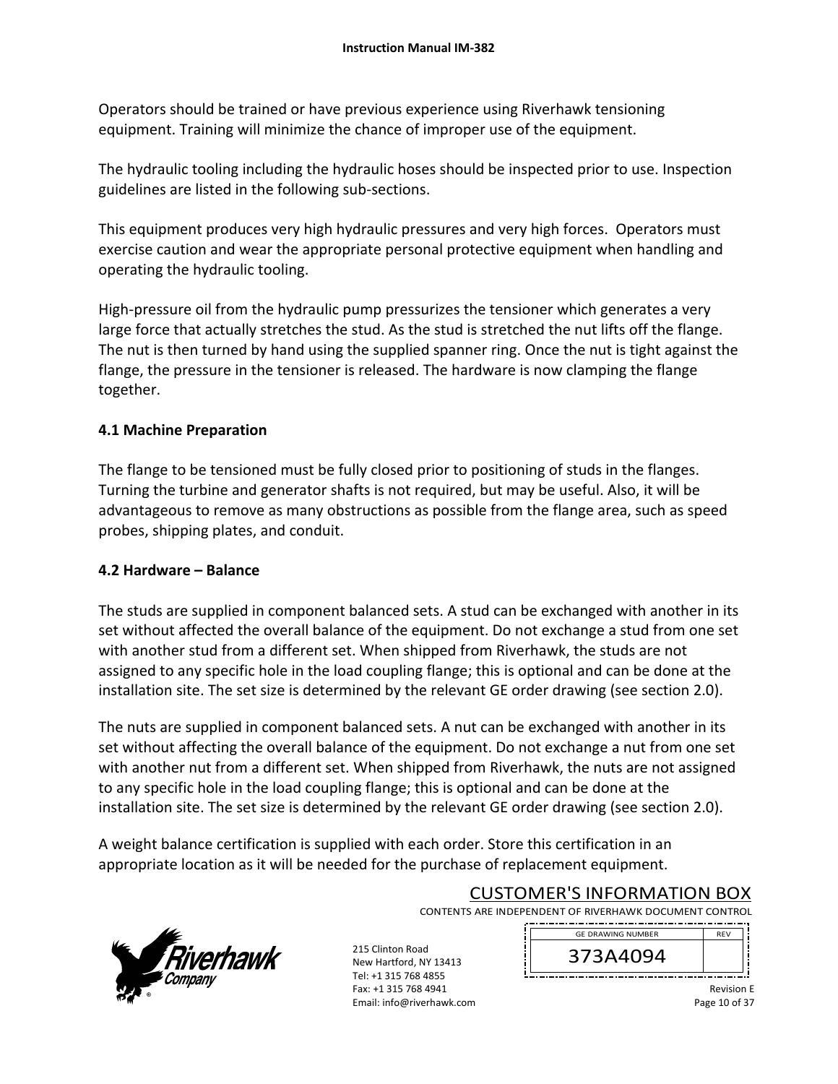Operators should be trained or have previous experience using Riverhawk tensioning equipment. Training will minimize the chance of improper use of the equipment.

The hydraulic tooling including the hydraulic hoses should be inspected prior to use. Inspection guidelines are listed in the following sub‐sections.

This equipment produces very high hydraulic pressures and very high forces. Operators must exercise caution and wear the appropriate personal protective equipment when handling and operating the hydraulic tooling.

High-pressure oil from the hydraulic pump pressurizes the tensioner which generates a very large force that actually stretches the stud. As the stud is stretched the nut lifts off the flange. The nut is then turned by hand using the supplied spanner ring. Once the nut is tight against the flange, the pressure in the tensioner is released. The hardware is now clamping the flange together.

# **4.1 Machine Preparation**

The flange to be tensioned must be fully closed prior to positioning of studs in the flanges. Turning the turbine and generator shafts is not required, but may be useful. Also, it will be advantageous to remove as many obstructions as possible from the flange area, such as speed probes, shipping plates, and conduit.

### **4.2 Hardware – Balance**

The studs are supplied in component balanced sets. A stud can be exchanged with another in its set without affected the overall balance of the equipment. Do not exchange a stud from one set with another stud from a different set. When shipped from Riverhawk, the studs are not assigned to any specific hole in the load coupling flange; this is optional and can be done at the installation site. The set size is determined by the relevant GE order drawing (see section 2.0).

The nuts are supplied in component balanced sets. A nut can be exchanged with another in its set without affecting the overall balance of the equipment. Do not exchange a nut from one set with another nut from a different set. When shipped from Riverhawk, the nuts are not assigned to any specific hole in the load coupling flange; this is optional and can be done at the installation site. The set size is determined by the relevant GE order drawing (see section 2.0).

A weight balance certification is supplied with each order. Store this certification in an appropriate location as it will be needed for the purchase of replacement equipment.



# CUSTOMER'S INFORMATION BOX

CONTENTS ARE INDEPENDENT OF RIVERHAWK DOCUMENT CONTROL 

215 Clinton Road New Hartford, NY 13413 Tel: +1 315 768 4855 Fax: +1 315 768 4941 Email: info@riverhawk.com 373A4094 GE DRAWING NUMBER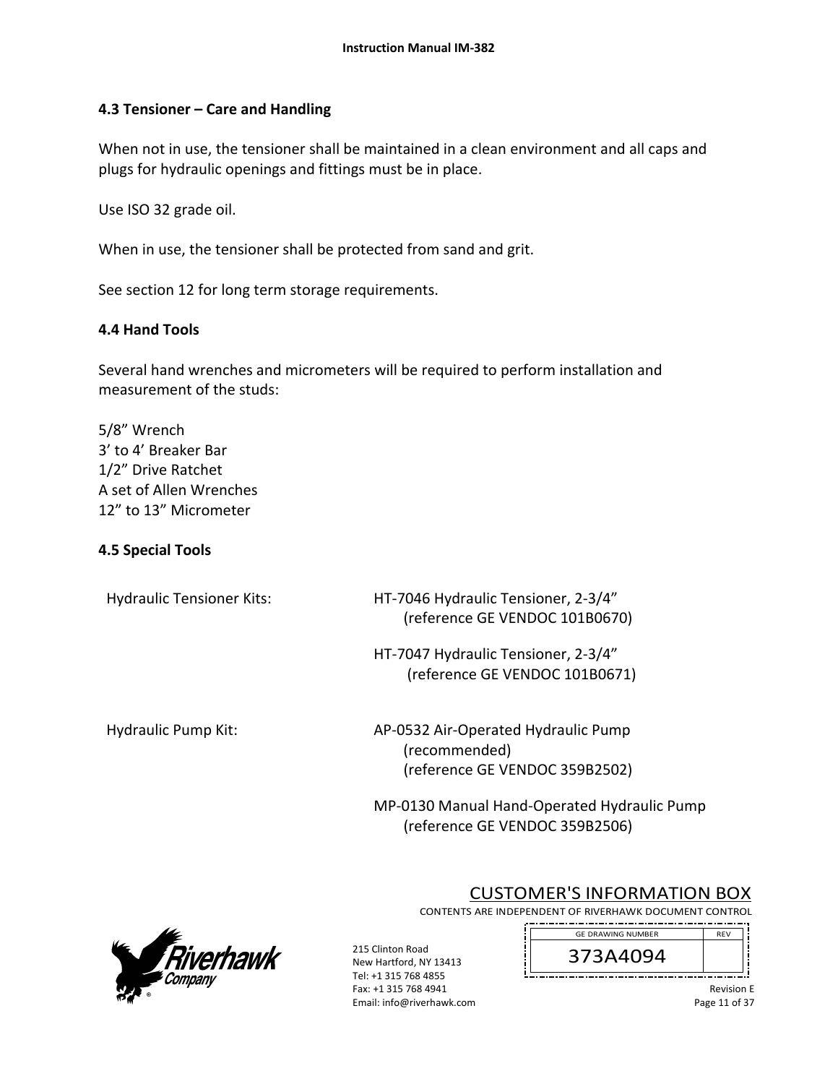# **4.3 Tensioner – Care and Handling**

When not in use, the tensioner shall be maintained in a clean environment and all caps and plugs for hydraulic openings and fittings must be in place.

Use ISO 32 grade oil.

When in use, the tensioner shall be protected from sand and grit.

See section 12 for long term storage requirements.

# **4.4 Hand Tools**

Several hand wrenches and micrometers will be required to perform installation and measurement of the studs:

5/8" Wrench 3' to 4' Breaker Bar 1/2" Drive Ratchet A set of Allen Wrenches 12" to 13" Micrometer

# **4.5 Special Tools**

Hydraulic Tensioner Kits: 
HT-7046 Hydraulic Tensioner, 2-3/4" (reference GE VENDOC 101B0670)

> HT‐7047 Hydraulic Tensioner, 2‐3/4" (reference GE VENDOC 101B0671)

Hydraulic Pump Kit: AP-0532 Air-Operated Hydraulic Pump (recommended) (reference GE VENDOC 359B2502)

> MP‐0130 Manual Hand‐Operated Hydraulic Pump (reference GE VENDOC 359B2506)



# CUSTOMER'S INFORMATION BOX

CONTENTS ARE INDEPENDENT OF RIVERHAWK DOCUMENT CONTROL ---------------

215 Clinton Road New Hartford, NY 13413 Tel: +1 315 768 4855 Fax: +1 315 768 4941 Email: info@riverhawk.com 373A4094 GE DRAWING NUMBER

> Revision E Page 11 of 37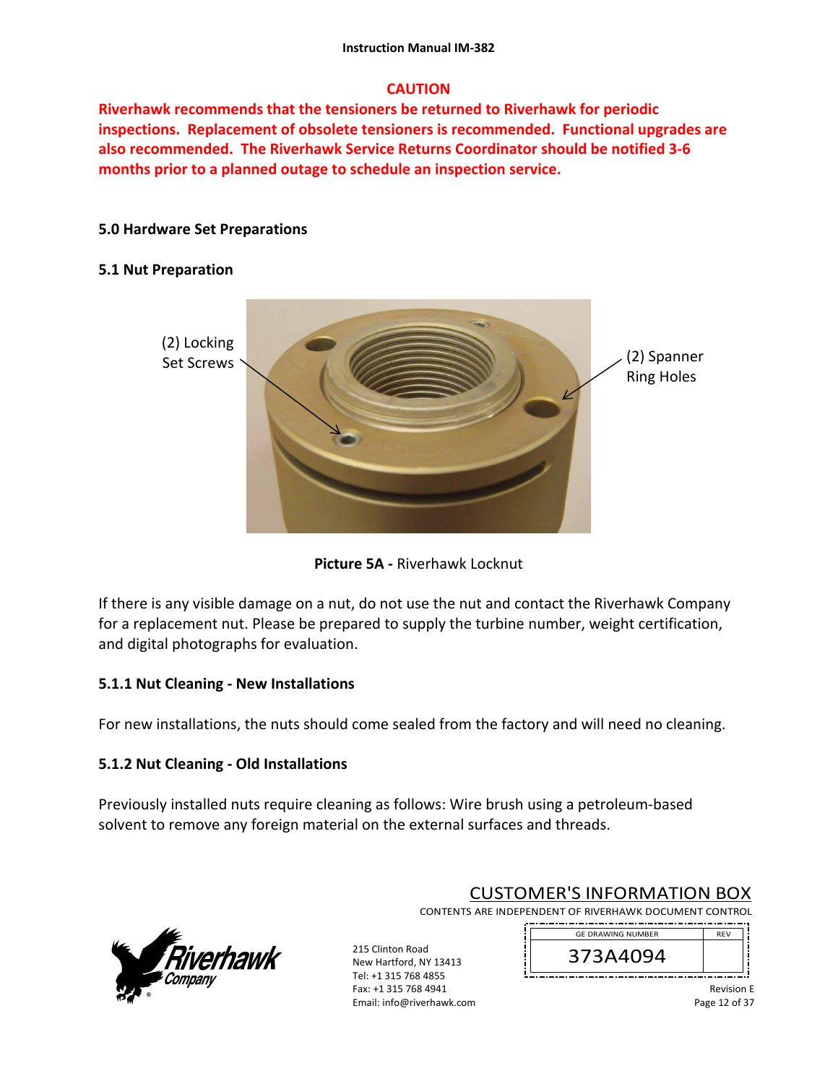# **CAUTION**

**Riverhawk recommends that the tensioners be returned to Riverhawk for periodic inspections. Replacement of obsolete tensioners is recommended. Functional upgrades are also recommended. The Riverhawk Service Returns Coordinator should be notified 3‐6 months prior to a planned outage to schedule an inspection service.** 

# **5.0 Hardware Set Preparations**

# **5.1 Nut Preparation**



**Picture 5A ‐** Riverhawk Locknut

If there is any visible damage on a nut, do not use the nut and contact the Riverhawk Company for a replacement nut. Please be prepared to supply the turbine number, weight certification, and digital photographs for evaluation.

# **5.1.1 Nut Cleaning ‐ New Installations**

For new installations, the nuts should come sealed from the factory and will need no cleaning.

# **5.1.2 Nut Cleaning ‐ Old Installations**

Previously installed nuts require cleaning as follows: Wire brush using a petroleum‐based solvent to remove any foreign material on the external surfaces and threads.



# CUSTOMER'S INFORMATION BOX

CONTENTS ARE INDEPENDENT OF RIVERHAWK DOCUMENT CONTROL 

215 Clinton Road New Hartford, NY 13413 Tel: +1 315 768 4855 Fax: +1 315 768 4941 Email: info@riverhawk.com 373A4094 GE DRAWING NUMBER

> Revision E Page 12 of 37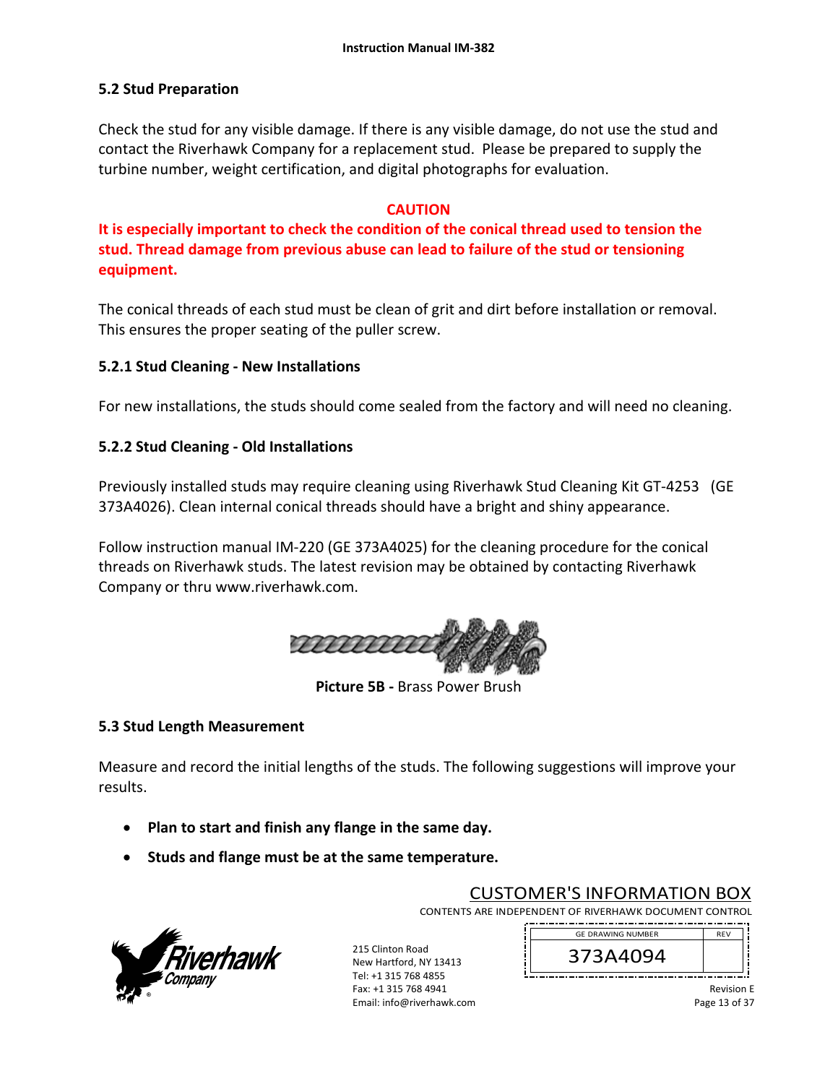# **5.2 Stud Preparation**

Check the stud for any visible damage. If there is any visible damage, do not use the stud and contact the Riverhawk Company for a replacement stud. Please be prepared to supply the turbine number, weight certification, and digital photographs for evaluation.

### **CAUTION**

**It is especially important to check the condition of the conical thread used to tension the stud. Thread damage from previous abuse can lead to failure of the stud or tensioning equipment.**

The conical threads of each stud must be clean of grit and dirt before installation or removal. This ensures the proper seating of the puller screw.

# **5.2.1 Stud Cleaning ‐ New Installations**

For new installations, the studs should come sealed from the factory and will need no cleaning.

# **5.2.2 Stud Cleaning ‐ Old Installations**

Previously installed studs may require cleaning using Riverhawk Stud Cleaning Kit GT‐4253 (GE 373A4026). Clean internal conical threads should have a bright and shiny appearance.

Follow instruction manual IM‐220 (GE 373A4025) for the cleaning procedure for the conical threads on Riverhawk studs. The latest revision may be obtained by contacting Riverhawk Company or thru www.riverhawk.com.



**Picture 5B ‐** Brass Power Brush

### **5.3 Stud Length Measurement**

Measure and record the initial lengths of the studs. The following suggestions will improve your results.

- **Plan to start and finish any flange in the same day.**
- **•** Studs and flange must be at the same temperature.



215 Clinton Road New Hartford, NY 13413 Tel: +1 315 768 4855 Fax: +1 315 768 4941 Email: info@riverhawk.com

CUSTOMER'S INFORMATION BOX

CONTENTS ARE INDEPENDENT OF RIVERHAWK DOCUMENT CONTROL REV



Revision E Page 13 of 37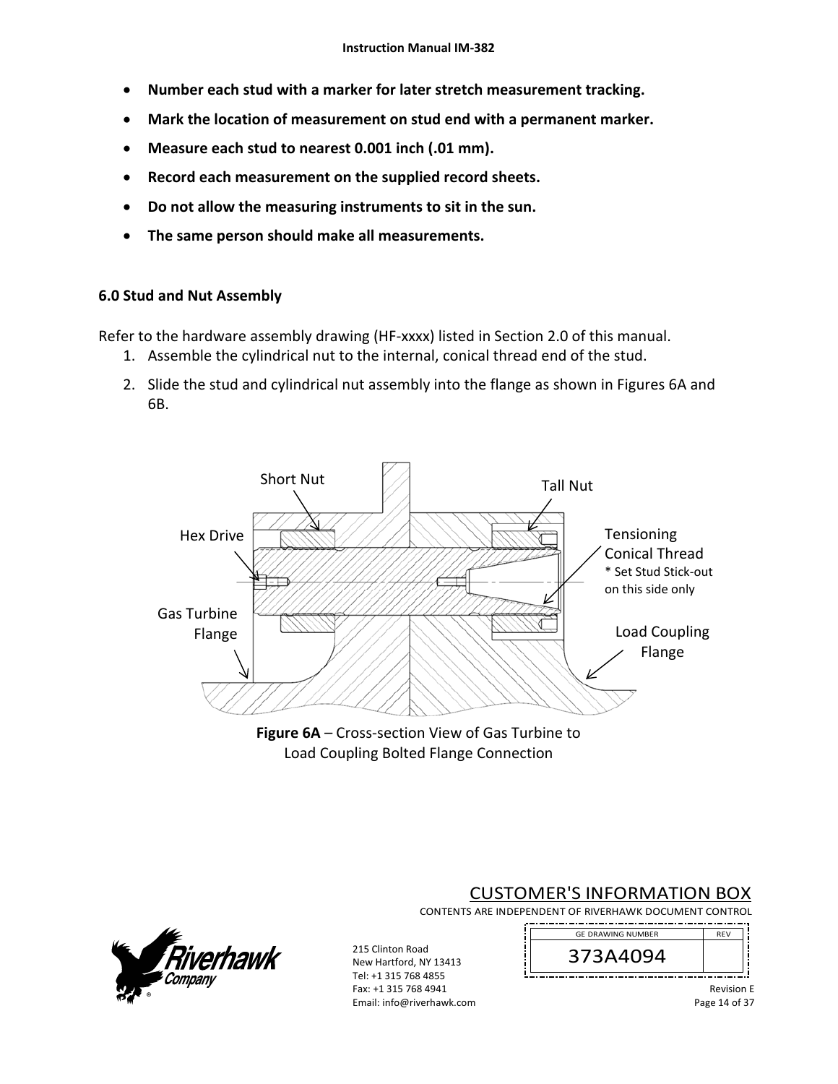- **Number each stud with a marker for later stretch measurement tracking.**
- **Mark the location of measurement on stud end with a permanent marker.**
- **Measure each stud to nearest 0.001 inch (.01 mm).**
- **Record each measurement on the supplied record sheets.**
- **Do not allow the measuring instruments to sit in the sun.**
- **The same person should make all measurements.**

### **6.0 Stud and Nut Assembly**

Refer to the hardware assembly drawing (HF-xxxx) listed in Section 2.0 of this manual.

- 1. Assemble the cylindrical nut to the internal, conical thread end of the stud.
- 2. Slide the stud and cylindrical nut assembly into the flange as shown in Figures 6A and 6B.







#### CUSTOMER'S INFORMATION BOX CONTENTS ARE INDEPENDENT OF RIVERHAWK DOCUMENT CONTROL --------------



215 Clinton Road New Hartford, NY 13413 Tel: +1 315 768 4855 Fax: +1 315 768 4941 Email: info@riverhawk.com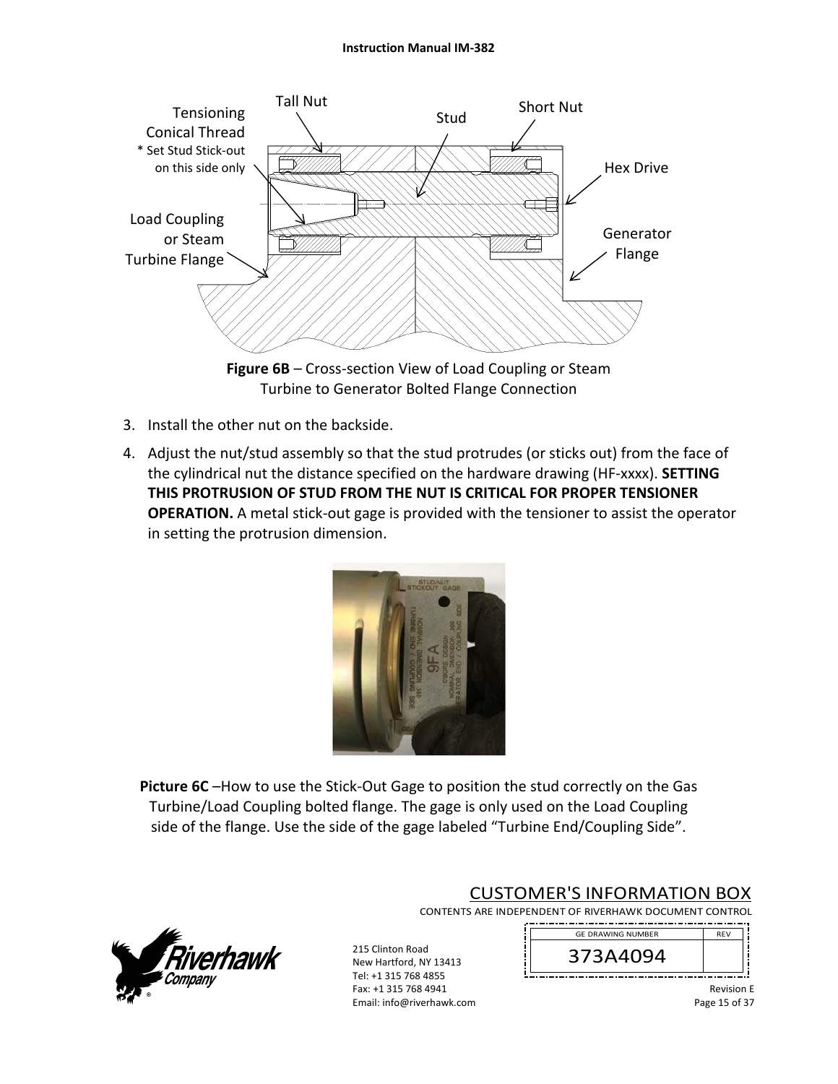

**Figure 6B** – Cross‐section View of Load Coupling or Steam Turbine to Generator Bolted Flange Connection

- 3. Install the other nut on the backside.
- 4. Adjust the nut/stud assembly so that the stud protrudes (or sticks out) from the face of the cylindrical nut the distance specified on the hardware drawing (HF‐xxxx). **SETTING THIS PROTRUSION OF STUD FROM THE NUT IS CRITICAL FOR PROPER TENSIONER OPERATION.** A metal stick-out gage is provided with the tensioner to assist the operator in setting the protrusion dimension.



**Picture 6C** –How to use the Stick-Out Gage to position the stud correctly on the Gas Turbine/Load Coupling bolted flange. The gage is only used on the Load Coupling side of the flange. Use the side of the gage labeled "Turbine End/Coupling Side".



# CUSTOMER'S INFORMATION BOX

GE DRAWING NUMBER

CONTENTS ARE INDEPENDENT OF RIVERHAWK DOCUMENT CONTROL . <u>. . . . . . . . . . . . . . .</u>

215 Clinton Road New Hartford, NY 13413 Tel: +1 315 768 4855 Fax: +1 315 768 4941 Email: info@riverhawk.com

373A4094

Revision E Page 15 of 37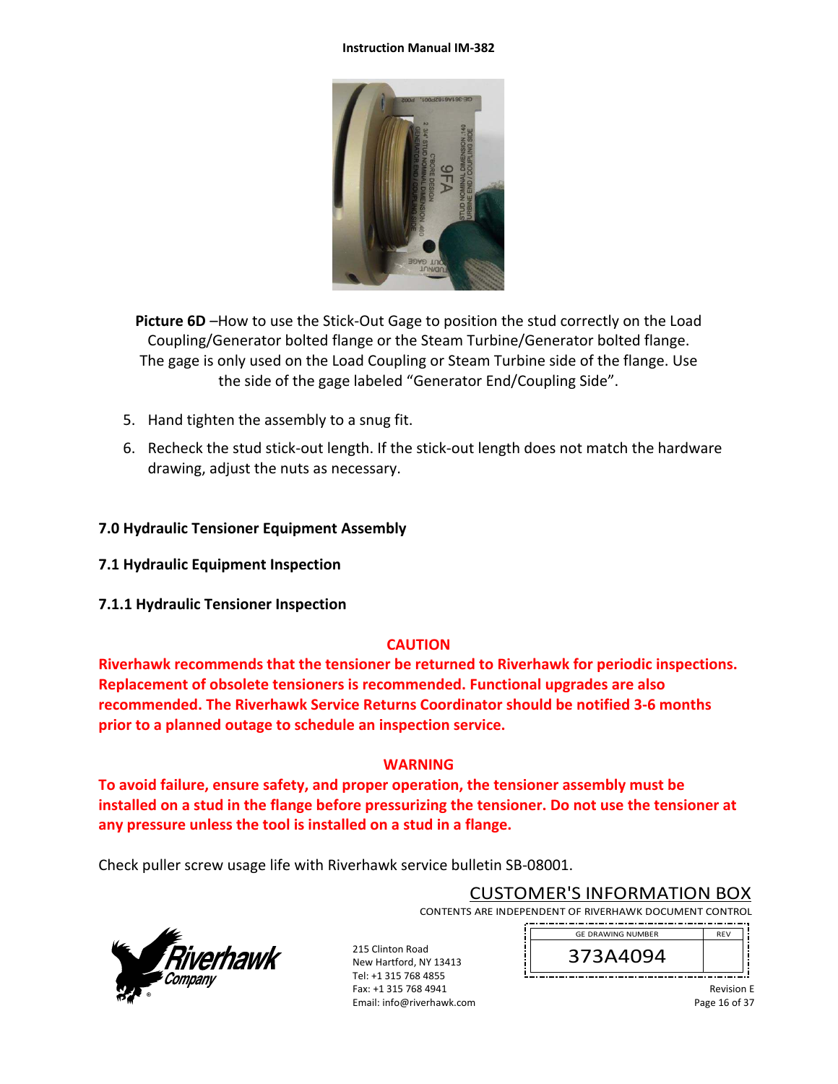

**Picture 6D** –How to use the Stick-Out Gage to position the stud correctly on the Load Coupling/Generator bolted flange or the Steam Turbine/Generator bolted flange. The gage is only used on the Load Coupling or Steam Turbine side of the flange. Use the side of the gage labeled "Generator End/Coupling Side".

- 5. Hand tighten the assembly to a snug fit.
- 6. Recheck the stud stick‐out length. If the stick‐out length does not match the hardware drawing, adjust the nuts as necessary.

### **7.0 Hydraulic Tensioner Equipment Assembly**

- **7.1 Hydraulic Equipment Inspection**
- **7.1.1 Hydraulic Tensioner Inspection**

### **CAUTION**

**Riverhawk recommends that the tensioner be returned to Riverhawk for periodic inspections. Replacement of obsolete tensioners is recommended. Functional upgrades are also recommended. The Riverhawk Service Returns Coordinator should be notified 3‐6 months prior to a planned outage to schedule an inspection service.** 

### **WARNING**

**To avoid failure, ensure safety, and proper operation, the tensioner assembly must be installed on a stud in the flange before pressurizing the tensioner. Do not use the tensioner at any pressure unless the tool is installed on a stud in a flange.** 

Check puller screw usage life with Riverhawk service bulletin SB‐08001.



CUSTOMER'S INFORMATION BOX

CONTENTS ARE INDEPENDENT OF RIVERHAWK DOCUMENT CONTROL 

215 Clinton Road New Hartford, NY 13413 Tel: +1 315 768 4855 Fax: +1 315 768 4941 Email: info@riverhawk.com 373A4094 GE DRAWING NUMBER

> Revision E Page 16 of 37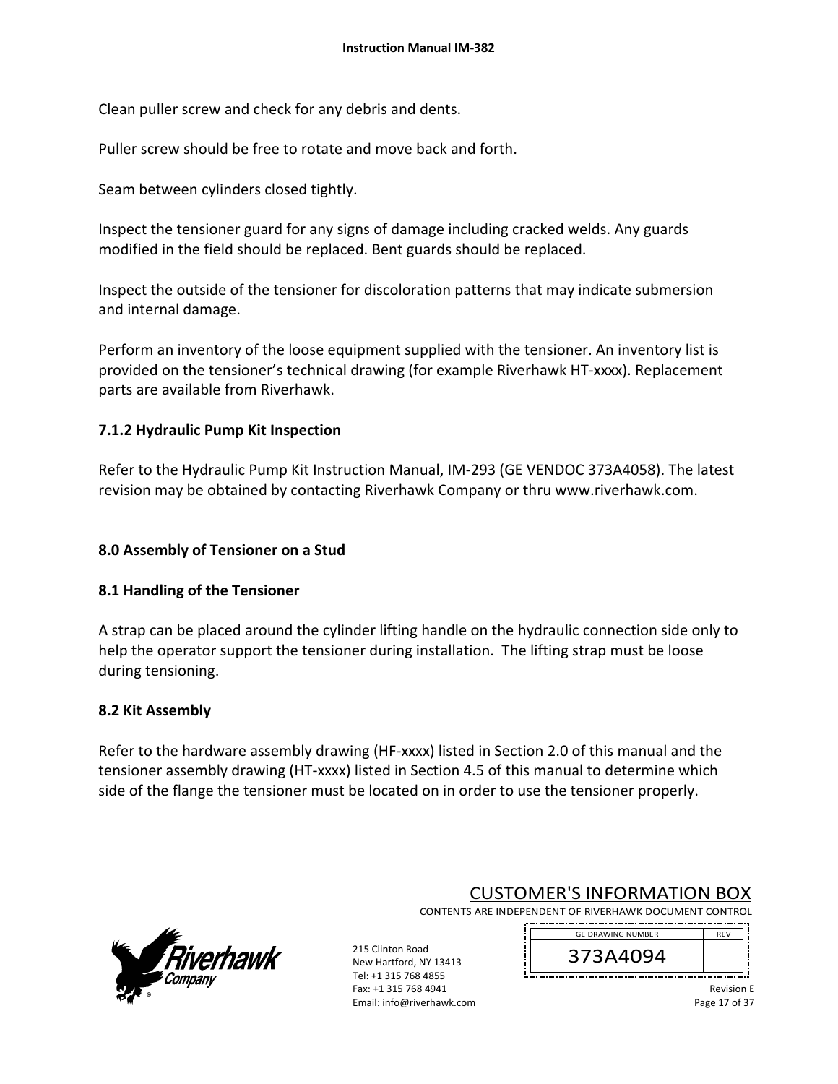Clean puller screw and check for any debris and dents.

Puller screw should be free to rotate and move back and forth.

Seam between cylinders closed tightly.

Inspect the tensioner guard for any signs of damage including cracked welds. Any guards modified in the field should be replaced. Bent guards should be replaced.

Inspect the outside of the tensioner for discoloration patterns that may indicate submersion and internal damage.

Perform an inventory of the loose equipment supplied with the tensioner. An inventory list is provided on the tensioner's technical drawing (for example Riverhawk HT‐xxxx). Replacement parts are available from Riverhawk.

# **7.1.2 Hydraulic Pump Kit Inspection**

Refer to the Hydraulic Pump Kit Instruction Manual, IM‐293 (GE VENDOC 373A4058). The latest revision may be obtained by contacting Riverhawk Company or thru www.riverhawk.com.

## **8.0 Assembly of Tensioner on a Stud**

### **8.1 Handling of the Tensioner**

A strap can be placed around the cylinder lifting handle on the hydraulic connection side only to help the operator support the tensioner during installation. The lifting strap must be loose during tensioning.

### **8.2 Kit Assembly**

Refer to the hardware assembly drawing (HF-xxxx) listed in Section 2.0 of this manual and the tensioner assembly drawing (HT‐xxxx) listed in Section 4.5 of this manual to determine which side of the flange the tensioner must be located on in order to use the tensioner properly.



# CUSTOMER'S INFORMATION BOX

CONTENTS ARE INDEPENDENT OF RIVERHAWK DOCUMENT CONTROL 

215 Clinton Road New Hartford, NY 13413 Tel: +1 315 768 4855 Fax: +1 315 768 4941 Email: info@riverhawk.com 373A4094 GE DRAWING NUMBER

> Revision E Page 17 of 37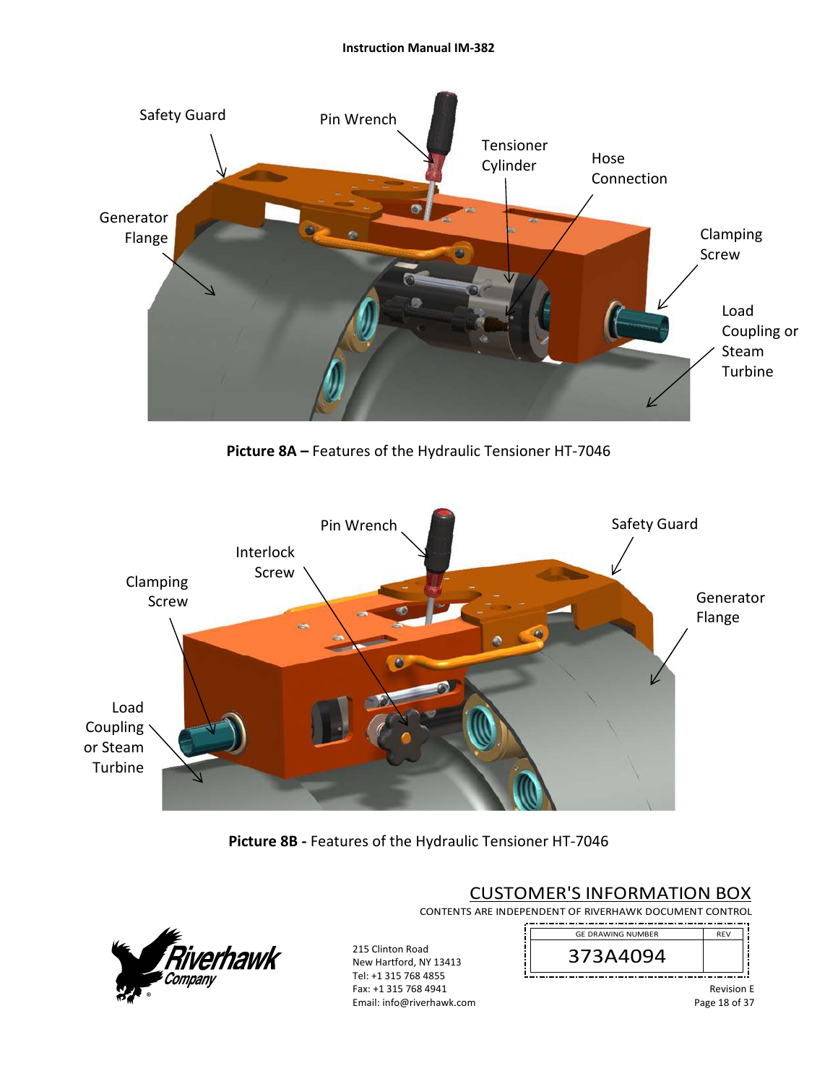

**Picture 8A –** Features of the Hydraulic Tensioner HT‐7046



**Picture 8B ‐** Features of the Hydraulic Tensioner HT‐7046



215 Clinton Road New Hartford, NY 13413 Tel: +1 315 768 4855 Fax: +1 315 768 4941 Email: info@riverhawk.com

# CUSTOMER'S INFORMATION BOX

CONTENTS ARE INDEPENDENT OF RIVERHAWK DOCUMENT CONTROL . <u>. . . . . . . . . . . . . . .</u>



Revision E Page 18 of 37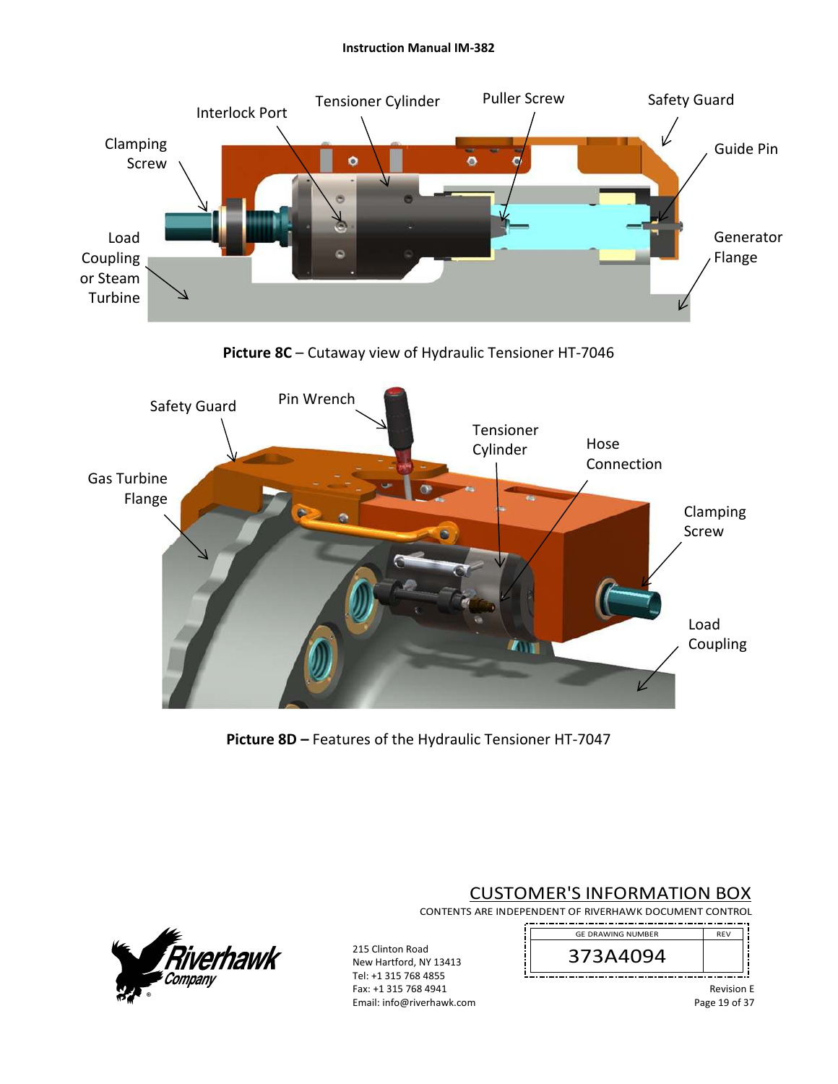

**Picture 8C** – Cutaway view of Hydraulic Tensioner HT‐7046



**Picture 8D –** Features of the Hydraulic Tensioner HT‐7047

CUSTOMER'S INFORMATION BOX

CONTENTS ARE INDEPENDENT OF RIVERHAWK DOCUMENT CONTROL . \_\_ . \_ . \_ . \_ . \_ . \_ . \_



215 Clinton Road New Hartford, NY 13413 Tel: +1 315 768 4855 Fax: +1 315 768 4941 Email: info@riverhawk.com



Revision E Page 19 of 37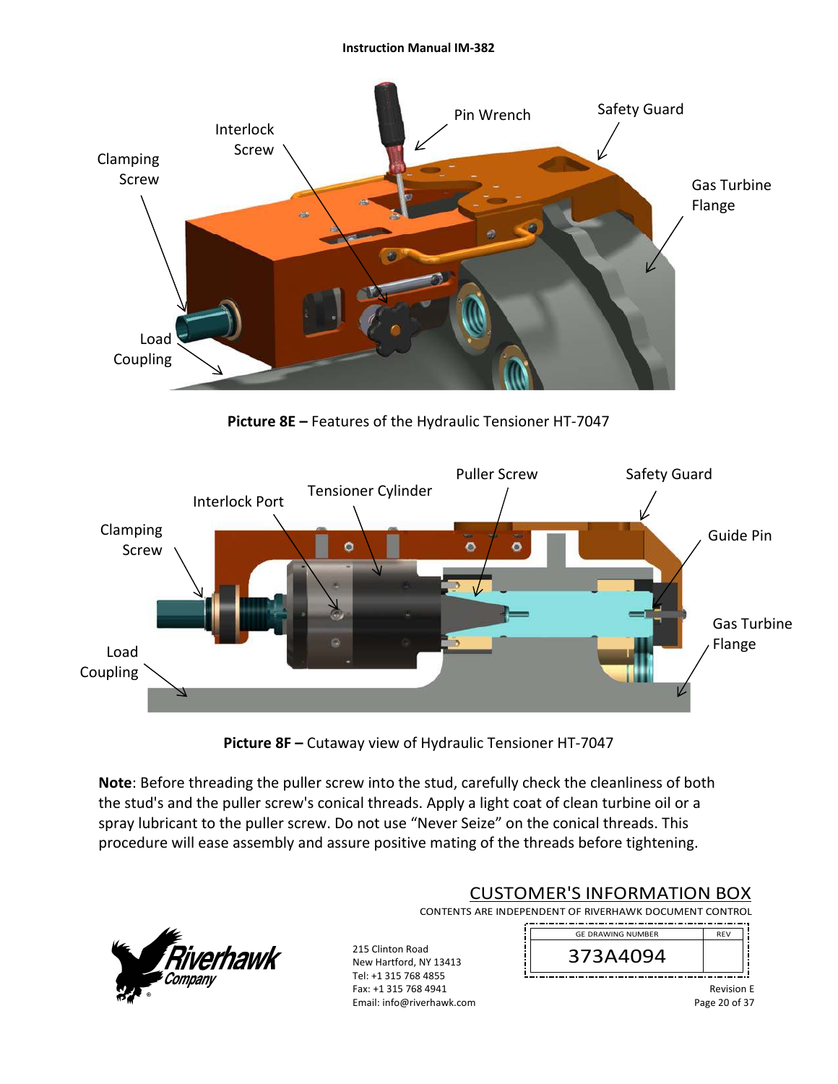

**Picture 8E –** Features of the Hydraulic Tensioner HT‐7047



**Picture 8F –** Cutaway view of Hydraulic Tensioner HT‐7047

**Note**: Before threading the puller screw into the stud, carefully check the cleanliness of both the stud's and the puller screw's conical threads. Apply a light coat of clean turbine oil or a spray lubricant to the puller screw. Do not use "Never Seize" on the conical threads. This procedure will ease assembly and assure positive mating of the threads before tightening.



# CUSTOMER'S INFORMATION BOX

CONTENTS ARE INDEPENDENT OF RIVERHAWK DOCUMENT CONTROL 

215 Clinton Road New Hartford, NY 13413 Tel: +1 315 768 4855 Fax: +1 315 768 4941 Email: info@riverhawk.com

REV 373A4094 GE DRAWING NUMBER

> Revision E Page 20 of 37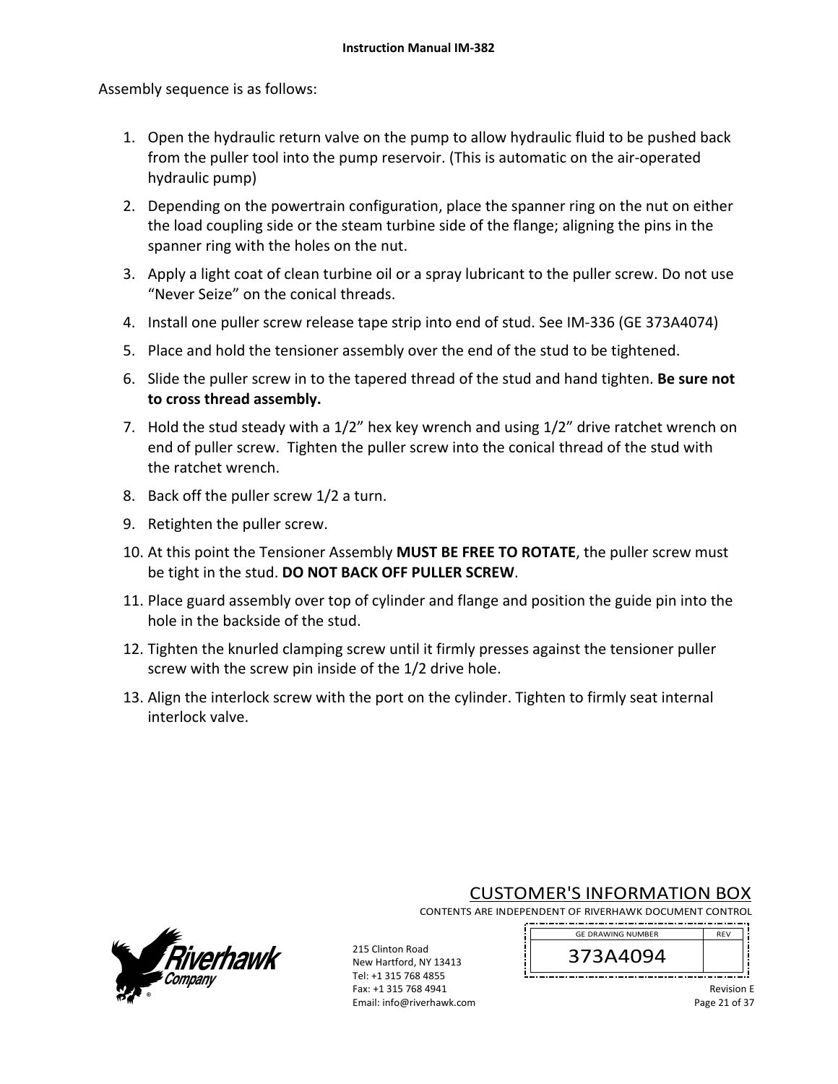Assembly sequence is as follows:

- 1. Open the hydraulic return valve on the pump to allow hydraulic fluid to be pushed back from the puller tool into the pump reservoir. (This is automatic on the air‐operated hydraulic pump)
- 2. Depending on the powertrain configuration, place the spanner ring on the nut on either the load coupling side or the steam turbine side of the flange; aligning the pins in the spanner ring with the holes on the nut.
- 3. Apply a light coat of clean turbine oil or a spray lubricant to the puller screw. Do not use "Never Seize" on the conical threads.
- 4. Install one puller screw release tape strip into end of stud. See IM‐336 (GE 373A4074)
- 5. Place and hold the tensioner assembly over the end of the stud to be tightened.
- 6. Slide the puller screw in to the tapered thread of the stud and hand tighten. **Be sure not to cross thread assembly.**
- 7. Hold the stud steady with a 1/2" hex key wrench and using 1/2" drive ratchet wrench on end of puller screw. Tighten the puller screw into the conical thread of the stud with the ratchet wrench.
- 8. Back off the puller screw 1/2 a turn.
- 9. Retighten the puller screw.
- 10. At this point the Tensioner Assembly **MUST BE FREE TO ROTATE**, the puller screw must be tight in the stud. **DO NOT BACK OFF PULLER SCREW**.
- 11. Place guard assembly over top of cylinder and flange and position the guide pin into the hole in the backside of the stud.
- 12. Tighten the knurled clamping screw until it firmly presses against the tensioner puller screw with the screw pin inside of the 1/2 drive hole.
- 13. Align the interlock screw with the port on the cylinder. Tighten to firmly seat internal interlock valve.



CUSTOMER'S INFORMATION BOX

CONTENTS ARE INDEPENDENT OF RIVERHAWK DOCUMENT CONTROL 

215 Clinton Road New Hartford, NY 13413 Tel: +1 315 768 4855 Fax: +1 315 768 4941 Email: info@riverhawk.com 373A4094 GE DRAWING NUMBER

> Revision E Page 21 of 37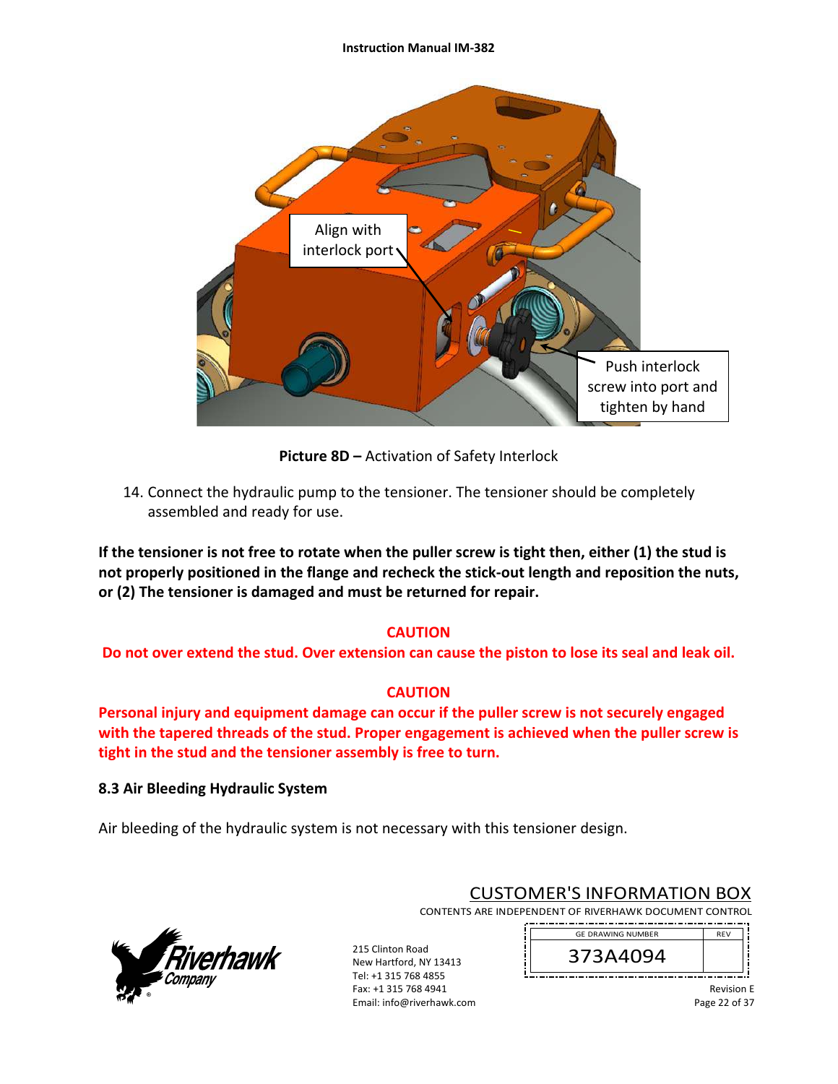

**Picture 8D –** Activation of Safety Interlock

14. Connect the hydraulic pump to the tensioner. The tensioner should be completely assembled and ready for use.

**If the tensioner is not free to rotate when the puller screw is tight then, either (1) the stud is not properly positioned in the flange and recheck the stick‐out length and reposition the nuts, or (2) The tensioner is damaged and must be returned for repair.** 

# **CAUTION**

**Do not over extend the stud. Over extension can cause the piston to lose its seal and leak oil.** 

### **CAUTION**

**Personal injury and equipment damage can occur if the puller screw is not securely engaged with the tapered threads of the stud. Proper engagement is achieved when the puller screw is tight in the stud and the tensioner assembly is free to turn.** 

### **8.3 Air Bleeding Hydraulic System**

Air bleeding of the hydraulic system is not necessary with this tensioner design.



# CUSTOMER'S INFORMATION BOX

CONTENTS ARE INDEPENDENT OF RIVERHAWK DOCUMENT CONTROL 

215 Clinton Road New Hartford, NY 13413 Tel: +1 315 768 4855 Fax: +1 315 768 4941 Email: info@riverhawk.com

REV 373A4094 GE DRAWING NUMBER

> Revision E Page 22 of 37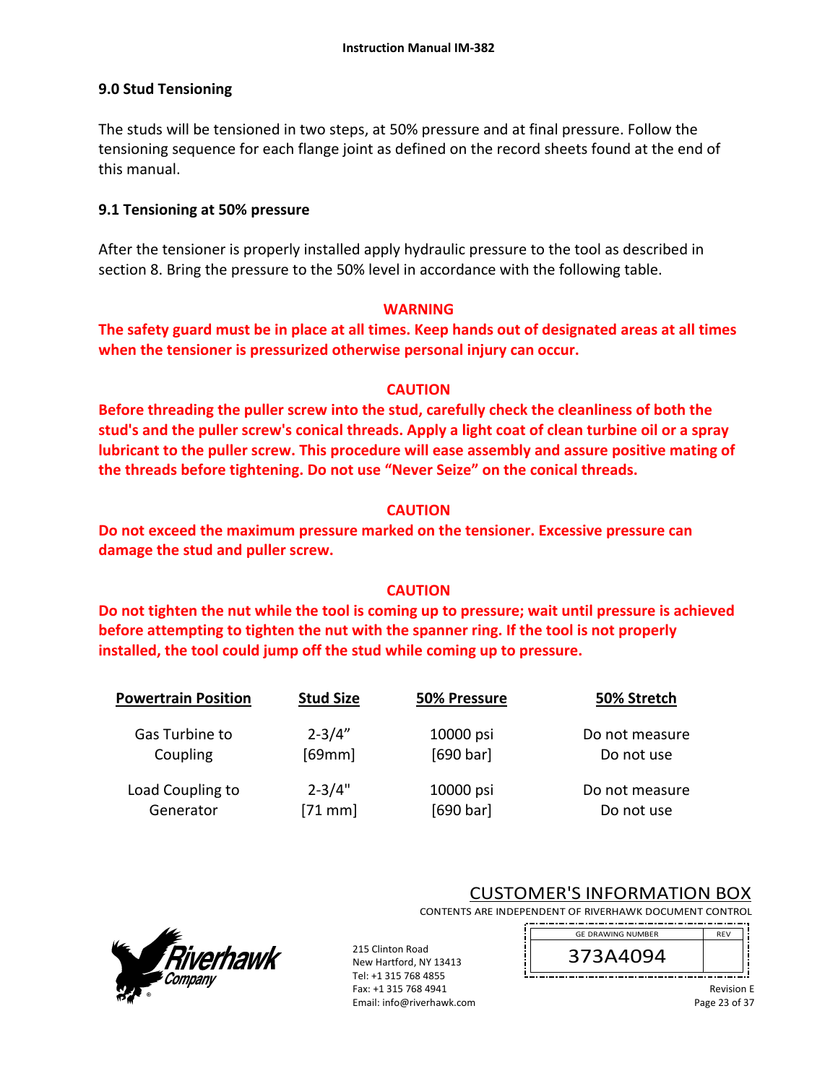# **9.0 Stud Tensioning**

The studs will be tensioned in two steps, at 50% pressure and at final pressure. Follow the tensioning sequence for each flange joint as defined on the record sheets found at the end of this manual.

# **9.1 Tensioning at 50% pressure**

After the tensioner is properly installed apply hydraulic pressure to the tool as described in section 8. Bring the pressure to the 50% level in accordance with the following table.

#### **WARNING**

**The safety guard must be in place at all times. Keep hands out of designated areas at all times when the tensioner is pressurized otherwise personal injury can occur.** 

### **CAUTION**

**Before threading the puller screw into the stud, carefully check the cleanliness of both the stud's and the puller screw's conical threads. Apply a light coat of clean turbine oil or a spray lubricant to the puller screw. This procedure will ease assembly and assure positive mating of the threads before tightening. Do not use "Never Seize" on the conical threads.** 

# **CAUTION**

**Do not exceed the maximum pressure marked on the tensioner. Excessive pressure can damage the stud and puller screw.** 

# **CAUTION**

**Do not tighten the nut while the tool is coming up to pressure; wait until pressure is achieved before attempting to tighten the nut with the spanner ring. If the tool is not properly installed, the tool could jump off the stud while coming up to pressure.** 

| <b>Powertrain Position</b> | <b>Stud Size</b> | 50% Pressure | 50% Stretch    |
|----------------------------|------------------|--------------|----------------|
| Gas Turbine to             | $2 - 3/4"$       | 10000 psi    | Do not measure |
| Coupling                   | [69mm]           | [690 bar]    | Do not use     |
| Load Coupling to           | $2 - 3/4"$       | 10000 psi    | Do not measure |
| Generator                  | $[71$ mm]        | [690 bar]    | Do not use     |



215 Clinton Road New Hartford, NY 13413 Tel: +1 315 768 4855 Fax: +1 315 768 4941 Email: info@riverhawk.com



CONTENTS ARE INDEPENDENT OF RIVERHAWK DOCUMENT CONTROL 



Revision E Page 23 of 37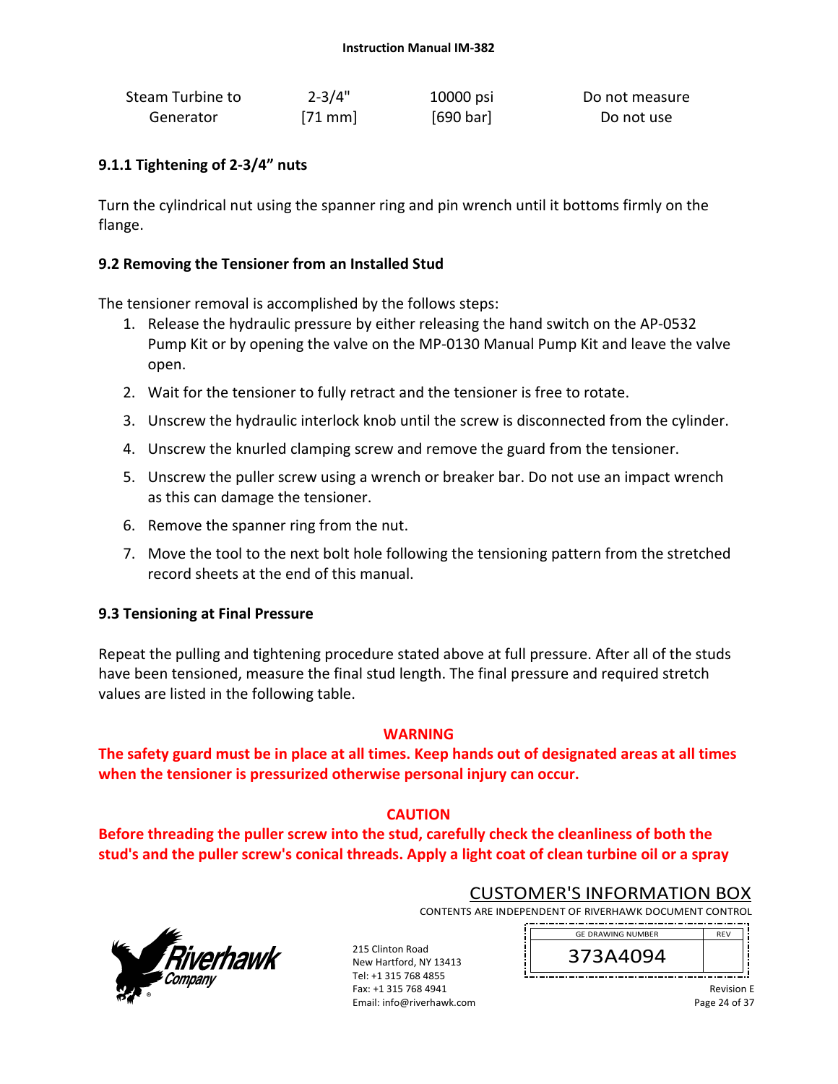| Steam Turbine to | $2 - 3/4"$ | 10000 psi | Do not measure |
|------------------|------------|-----------|----------------|
| Generator        | $[71$ mm   | [690 bar] | Do not use     |

# **9.1.1 Tightening of 2‐3/4" nuts**

Turn the cylindrical nut using the spanner ring and pin wrench until it bottoms firmly on the flange.

# **9.2 Removing the Tensioner from an Installed Stud**

The tensioner removal is accomplished by the follows steps:

- 1. Release the hydraulic pressure by either releasing the hand switch on the AP‐0532 Pump Kit or by opening the valve on the MP‐0130 Manual Pump Kit and leave the valve open.
- 2. Wait for the tensioner to fully retract and the tensioner is free to rotate.
- 3. Unscrew the hydraulic interlock knob until the screw is disconnected from the cylinder.
- 4. Unscrew the knurled clamping screw and remove the guard from the tensioner.
- 5. Unscrew the puller screw using a wrench or breaker bar. Do not use an impact wrench as this can damage the tensioner.
- 6. Remove the spanner ring from the nut.
- 7. Move the tool to the next bolt hole following the tensioning pattern from the stretched record sheets at the end of this manual.

### **9.3 Tensioning at Final Pressure**

Repeat the pulling and tightening procedure stated above at full pressure. After all of the studs have been tensioned, measure the final stud length. The final pressure and required stretch values are listed in the following table.

### **WARNING**

**The safety guard must be in place at all times. Keep hands out of designated areas at all times when the tensioner is pressurized otherwise personal injury can occur.** 

# **CAUTION**

**Before threading the puller screw into the stud, carefully check the cleanliness of both the stud's and the puller screw's conical threads. Apply a light coat of clean turbine oil or a spray** 



CUSTOMER'S INFORMATION BOX

CONTENTS ARE INDEPENDENT OF RIVERHAWK DOCUMENT CONTROL 

215 Clinton Road New Hartford, NY 13413 Tel: +1 315 768 4855 Fax: +1 315 768 4941 Email: info@riverhawk.com 373A4094 GE DRAWING NUMBER

> Revision E Page 24 of 37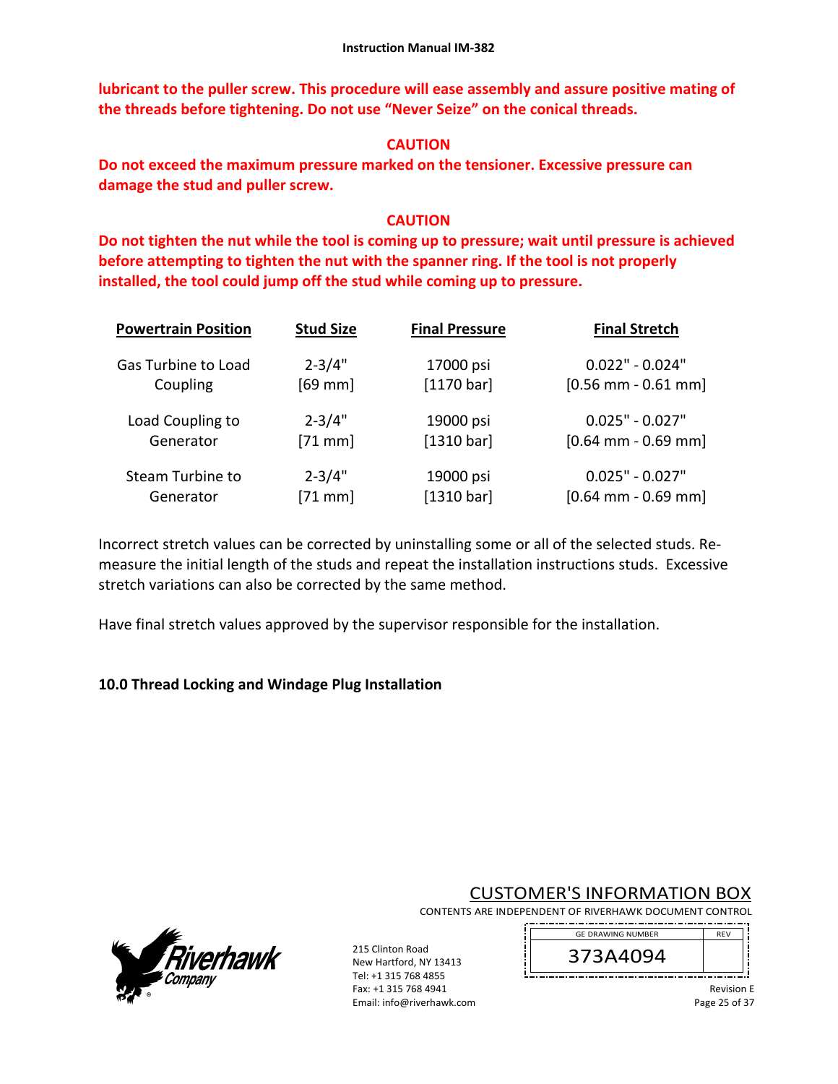**lubricant to the puller screw. This procedure will ease assembly and assure positive mating of the threads before tightening. Do not use "Never Seize" on the conical threads.** 

# **CAUTION**

**Do not exceed the maximum pressure marked on the tensioner. Excessive pressure can damage the stud and puller screw.** 

# **CAUTION**

**Do not tighten the nut while the tool is coming up to pressure; wait until pressure is achieved before attempting to tighten the nut with the spanner ring. If the tool is not properly installed, the tool could jump off the stud while coming up to pressure.** 

| <b>Powertrain Position</b> | <b>Stud Size</b> | <b>Final Pressure</b> | <b>Final Stretch</b>  |
|----------------------------|------------------|-----------------------|-----------------------|
| Gas Turbine to Load        | $2 - 3/4"$       | 17000 psi             | $0.022" - 0.024"$     |
| Coupling                   | $[69$ mm]        | [1170 bar]            | $[0.56$ mm - 0.61 mm] |
| Load Coupling to           | $2 - 3/4"$       | 19000 psi             | $0.025" - 0.027"$     |
| Generator                  | $[71$ mm]        | [1310 bar]            | $[0.64$ mm - 0.69 mm] |
| Steam Turbine to           | $2 - 3/4"$       | 19000 psi             | $0.025" - 0.027"$     |
| Generator                  | $[71$ mm]        | [1310 bar]            | $[0.64$ mm - 0.69 mm] |

Incorrect stretch values can be corrected by uninstalling some or all of the selected studs. Re‐ measure the initial length of the studs and repeat the installation instructions studs. Excessive stretch variations can also be corrected by the same method.

Have final stretch values approved by the supervisor responsible for the installation.

# **10.0 Thread Locking and Windage Plug Installation**



CUSTOMER'S INFORMATION BOX

CONTENTS ARE INDEPENDENT OF RIVERHAWK DOCUMENT CONTROL 

215 Clinton Road New Hartford, NY 13413 Tel: +1 315 768 4855 Fax: +1 315 768 4941 Email: info@riverhawk.com



Revision E Page 25 of 37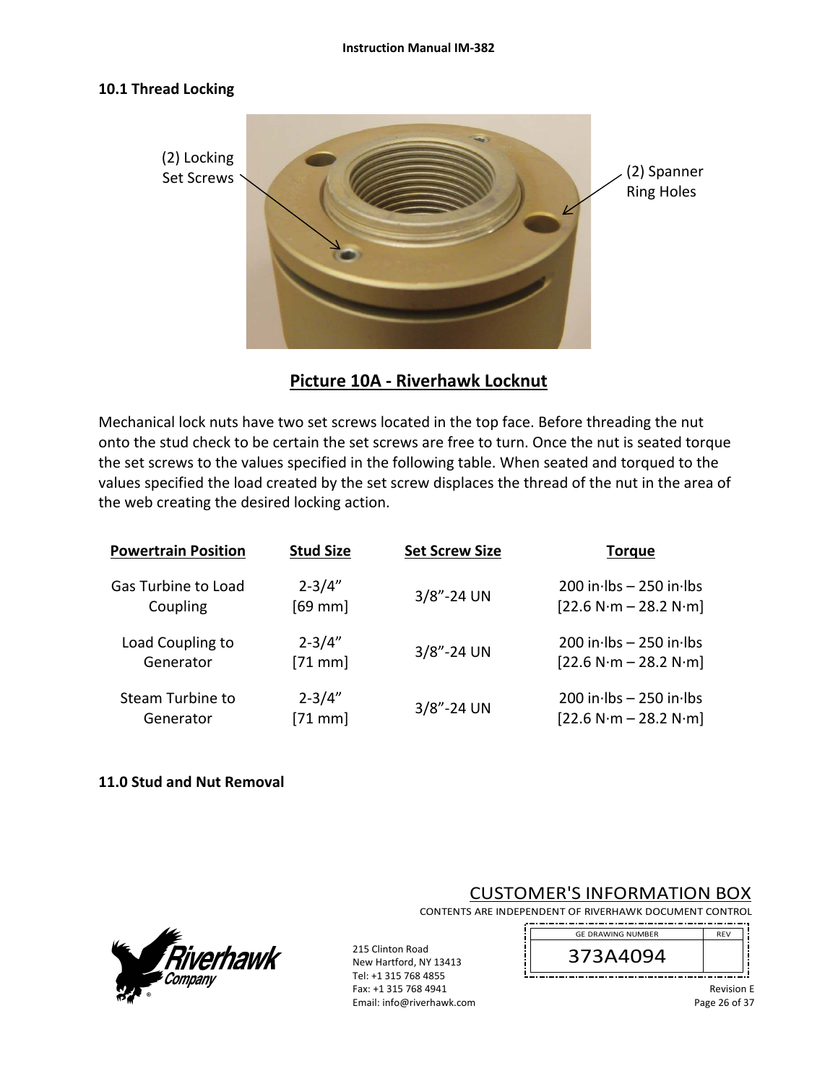#### **10.1 Thread Locking**



**Picture 10A ‐ Riverhawk Locknut** 

Mechanical lock nuts have two set screws located in the top face. Before threading the nut onto the stud check to be certain the set screws are free to turn. Once the nut is seated torque the set screws to the values specified in the following table. When seated and torqued to the values specified the load created by the set screw displaces the thread of the nut in the area of the web creating the desired locking action.

| <b>Powertrain Position</b> | <b>Stud Size</b> | <b>Set Screw Size</b> | <b>Torque</b>               |
|----------------------------|------------------|-----------------------|-----------------------------|
| Gas Turbine to Load        | $2 - 3/4"$       | $3/8$ "-24 UN         | $200$ in lbs $-250$ in lbs  |
| Coupling                   | $[69$ mm         |                       | $[22.6 N·m - 28.2 N·m]$     |
| Load Coupling to           | $2 - 3/4"$       | $3/8$ "-24 UN         | $200$ in lbs $-250$ in lbs  |
| Generator                  | $[71$ mm         |                       | $[22.6 N·m - 28.2 N·m]$     |
| Steam Turbine to           | $2 - 3/4"$       | $3/8$ "-24 UN         | $200$ in lbs $- 250$ in lbs |
| Generator                  | $[71$ mm         |                       | $[22.6 N·m - 28.2 N·m]$     |

### **11.0 Stud and Nut Removal**



215 Clinton Road New Hartford, NY 13413 Tel: +1 315 768 4855 Fax: +1 315 768 4941 Email: info@riverhawk.com

# CUSTOMER'S INFORMATION BOX

CONTENTS ARE INDEPENDENT OF RIVERHAWK DOCUMENT CONTROL ----------------



Revision E Page 26 of 37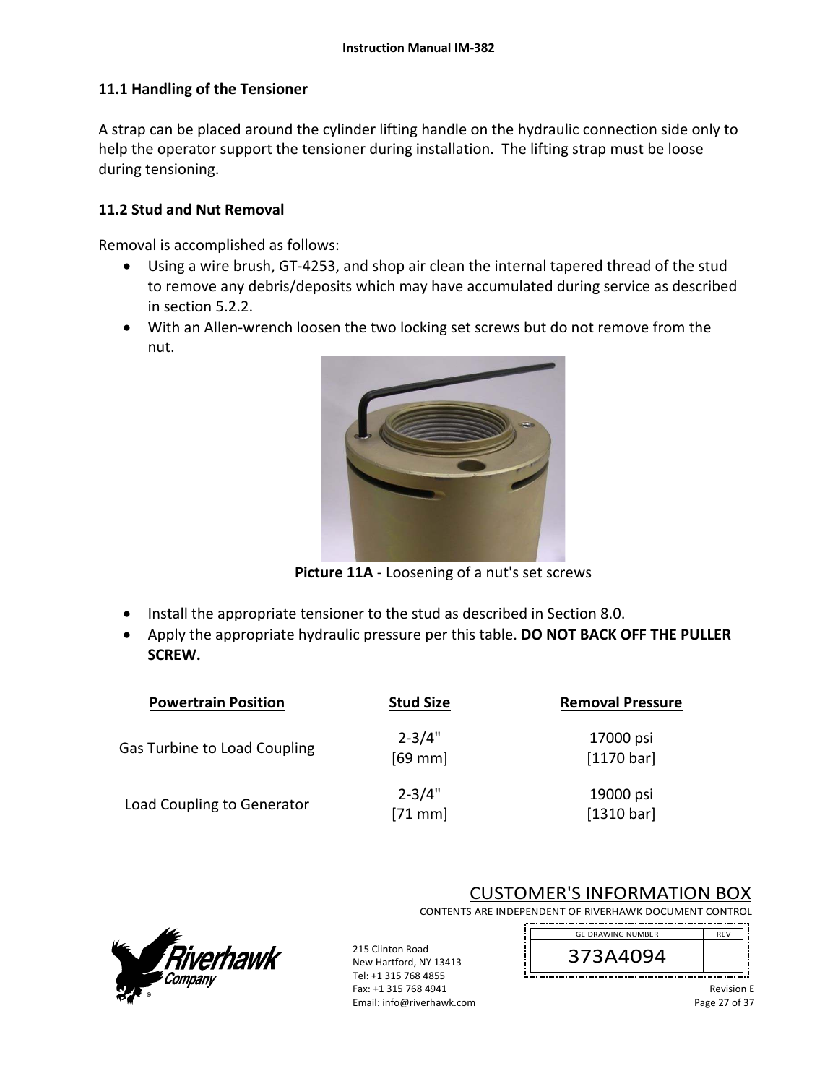# **11.1 Handling of the Tensioner**

A strap can be placed around the cylinder lifting handle on the hydraulic connection side only to help the operator support the tensioner during installation. The lifting strap must be loose during tensioning.

## **11.2 Stud and Nut Removal**

Removal is accomplished as follows:

- Using a wire brush, GT‐4253, and shop air clean the internal tapered thread of the stud to remove any debris/deposits which may have accumulated during service as described in section 5.2.2.
- With an Allen-wrench loosen the two locking set screws but do not remove from the nut.



**Picture 11A** ‐ Loosening of a nut's set screws

- Install the appropriate tensioner to the stud as described in Section 8.0.
- Apply the appropriate hydraulic pressure per this table. **DO NOT BACK OFF THE PULLER SCREW.**

| <b>Powertrain Position</b>          | <b>Stud Size</b>        | <b>Removal Pressure</b> |
|-------------------------------------|-------------------------|-------------------------|
| <b>Gas Turbine to Load Coupling</b> | $2 - 3/4"$<br>$[69$ mm  | 17000 psi<br>[1170 bar] |
| Load Coupling to Generator          | $2 - 3/4"$<br>$[71$ mm] | 19000 psi<br>[1310 bar] |



215 Clinton Road New Hartford, NY 13413 Tel: +1 315 768 4855 Fax: +1 315 768 4941 Email: info@riverhawk.com

# CUSTOMER'S INFORMATION BOX

CONTENTS ARE INDEPENDENT OF RIVERHAWK DOCUMENT CONTROL ---------------



Revision E Page 27 of 37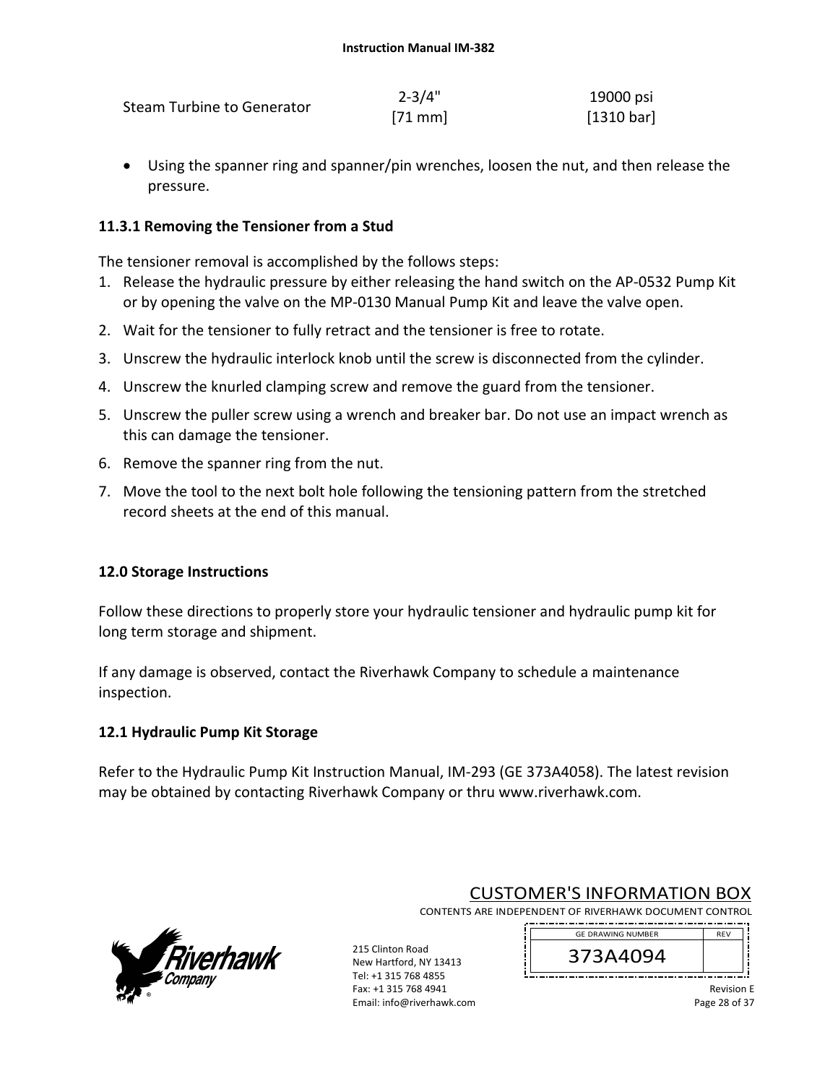| Steam Turbine to Generator | $2 - 3/4"$   | 19000 psi  |
|----------------------------|--------------|------------|
|                            | $[71$ mm $]$ | [1310 bar] |

 Using the spanner ring and spanner/pin wrenches, loosen the nut, and then release the pressure.

# **11.3.1 Removing the Tensioner from a Stud**

The tensioner removal is accomplished by the follows steps:

- 1. Release the hydraulic pressure by either releasing the hand switch on the AP‐0532 Pump Kit or by opening the valve on the MP‐0130 Manual Pump Kit and leave the valve open.
- 2. Wait for the tensioner to fully retract and the tensioner is free to rotate.
- 3. Unscrew the hydraulic interlock knob until the screw is disconnected from the cylinder.
- 4. Unscrew the knurled clamping screw and remove the guard from the tensioner.
- 5. Unscrew the puller screw using a wrench and breaker bar. Do not use an impact wrench as this can damage the tensioner.
- 6. Remove the spanner ring from the nut.
- 7. Move the tool to the next bolt hole following the tensioning pattern from the stretched record sheets at the end of this manual.

# **12.0 Storage Instructions**

Follow these directions to properly store your hydraulic tensioner and hydraulic pump kit for long term storage and shipment.

If any damage is observed, contact the Riverhawk Company to schedule a maintenance inspection.

# **12.1 Hydraulic Pump Kit Storage**

Refer to the Hydraulic Pump Kit Instruction Manual, IM‐293 (GE 373A4058). The latest revision may be obtained by contacting Riverhawk Company or thru www.riverhawk.com.



CUSTOMER'S INFORMATION BOX

CONTENTS ARE INDEPENDENT OF RIVERHAWK DOCUMENT CONTROL 

215 Clinton Road New Hartford, NY 13413 Tel: +1 315 768 4855 Fax: +1 315 768 4941 Email: info@riverhawk.com 373A4094 GE DRAWING NUMBER

> Revision E Page 28 of 37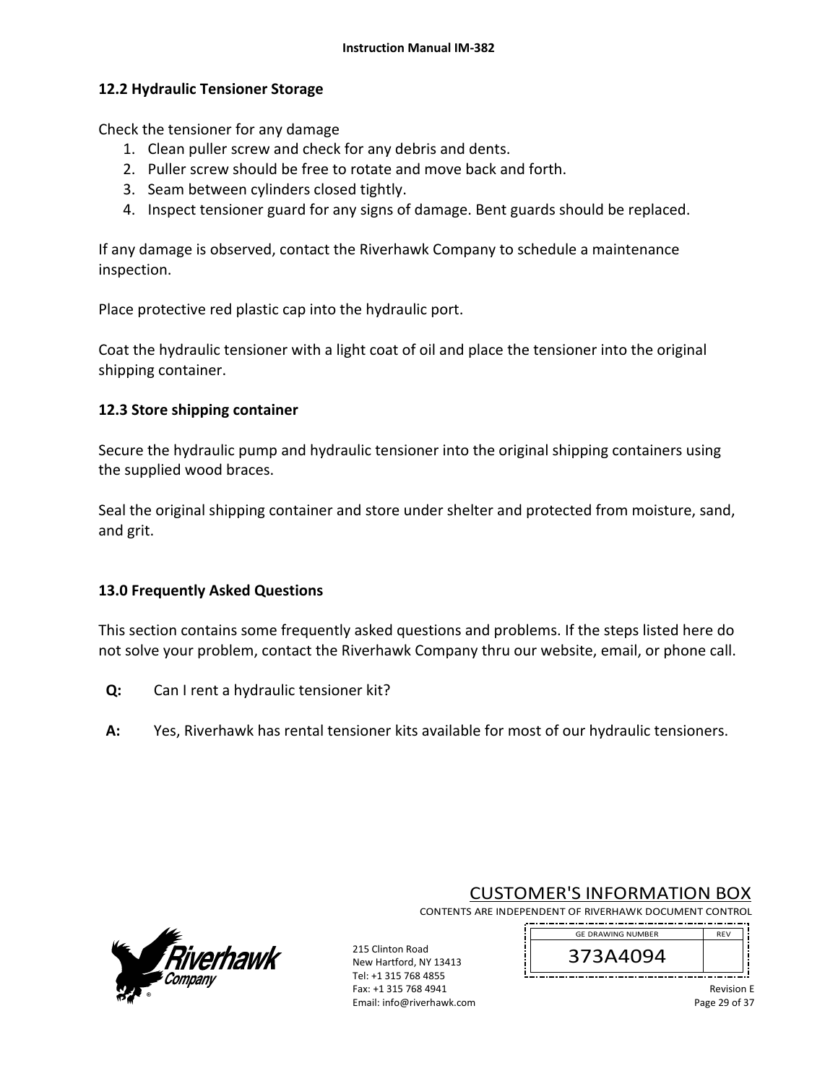### **12.2 Hydraulic Tensioner Storage**

Check the tensioner for any damage

- 1. Clean puller screw and check for any debris and dents.
- 2. Puller screw should be free to rotate and move back and forth.
- 3. Seam between cylinders closed tightly.
- 4. Inspect tensioner guard for any signs of damage. Bent guards should be replaced.

If any damage is observed, contact the Riverhawk Company to schedule a maintenance inspection.

Place protective red plastic cap into the hydraulic port.

Coat the hydraulic tensioner with a light coat of oil and place the tensioner into the original shipping container.

### **12.3 Store shipping container**

Secure the hydraulic pump and hydraulic tensioner into the original shipping containers using the supplied wood braces.

Seal the original shipping container and store under shelter and protected from moisture, sand, and grit.

### **13.0 Frequently Asked Questions**

This section contains some frequently asked questions and problems. If the steps listed here do not solve your problem, contact the Riverhawk Company thru our website, email, or phone call.

- **Q:**  Can I rent a hydraulic tensioner kit?
- **A:**  Yes, Riverhawk has rental tensioner kits available for most of our hydraulic tensioners.



215 Clinton Road New Hartford, NY 13413 Tel: +1 315 768 4855 Fax: +1 315 768 4941 Email: info@riverhawk.com

CUSTOMER'S INFORMATION BOX CONTENTS ARE INDEPENDENT OF RIVERHAWK DOCUMENT CONTROL

> 373A4094 GE DRAWING NUMBER

Revision E Page 29 of 37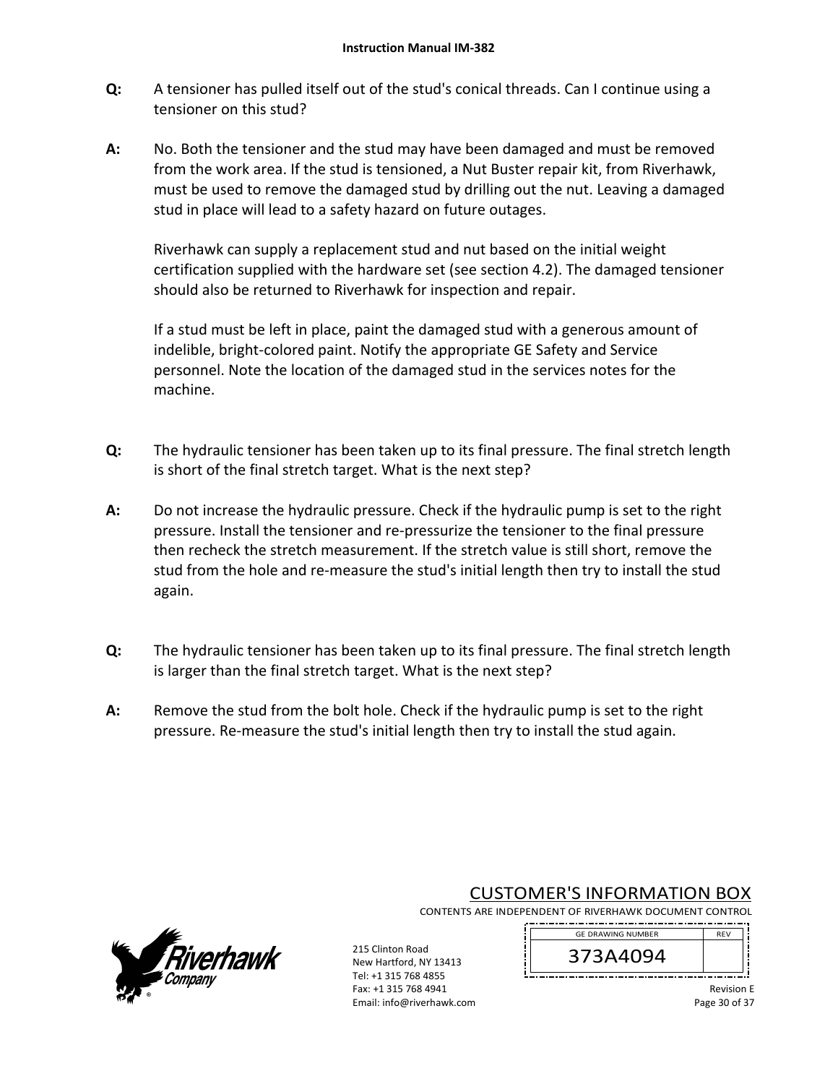- **Q:**  A tensioner has pulled itself out of the stud's conical threads. Can I continue using a tensioner on this stud?
- **A:**  No. Both the tensioner and the stud may have been damaged and must be removed from the work area. If the stud is tensioned, a Nut Buster repair kit, from Riverhawk, must be used to remove the damaged stud by drilling out the nut. Leaving a damaged stud in place will lead to a safety hazard on future outages.

Riverhawk can supply a replacement stud and nut based on the initial weight certification supplied with the hardware set (see section 4.2). The damaged tensioner should also be returned to Riverhawk for inspection and repair.

If a stud must be left in place, paint the damaged stud with a generous amount of indelible, bright‐colored paint. Notify the appropriate GE Safety and Service personnel. Note the location of the damaged stud in the services notes for the machine.

- **Q:**  The hydraulic tensioner has been taken up to its final pressure. The final stretch length is short of the final stretch target. What is the next step?
- **A:**  Do not increase the hydraulic pressure. Check if the hydraulic pump is set to the right pressure. Install the tensioner and re‐pressurize the tensioner to the final pressure then recheck the stretch measurement. If the stretch value is still short, remove the stud from the hole and re‐measure the stud's initial length then try to install the stud again.
- **Q:**  The hydraulic tensioner has been taken up to its final pressure. The final stretch length is larger than the final stretch target. What is the next step?
- **A:**  Remove the stud from the bolt hole. Check if the hydraulic pump is set to the right pressure. Re‐measure the stud's initial length then try to install the stud again.



# CUSTOMER'S INFORMATION BOX

CONTENTS ARE INDEPENDENT OF RIVERHAWK DOCUMENT CONTROL 

215 Clinton Road New Hartford, NY 13413 Tel: +1 315 768 4855 Fax: +1 315 768 4941 Email: info@riverhawk.com 373A4094 GE DRAWING NUMBER

> Revision E Page 30 of 37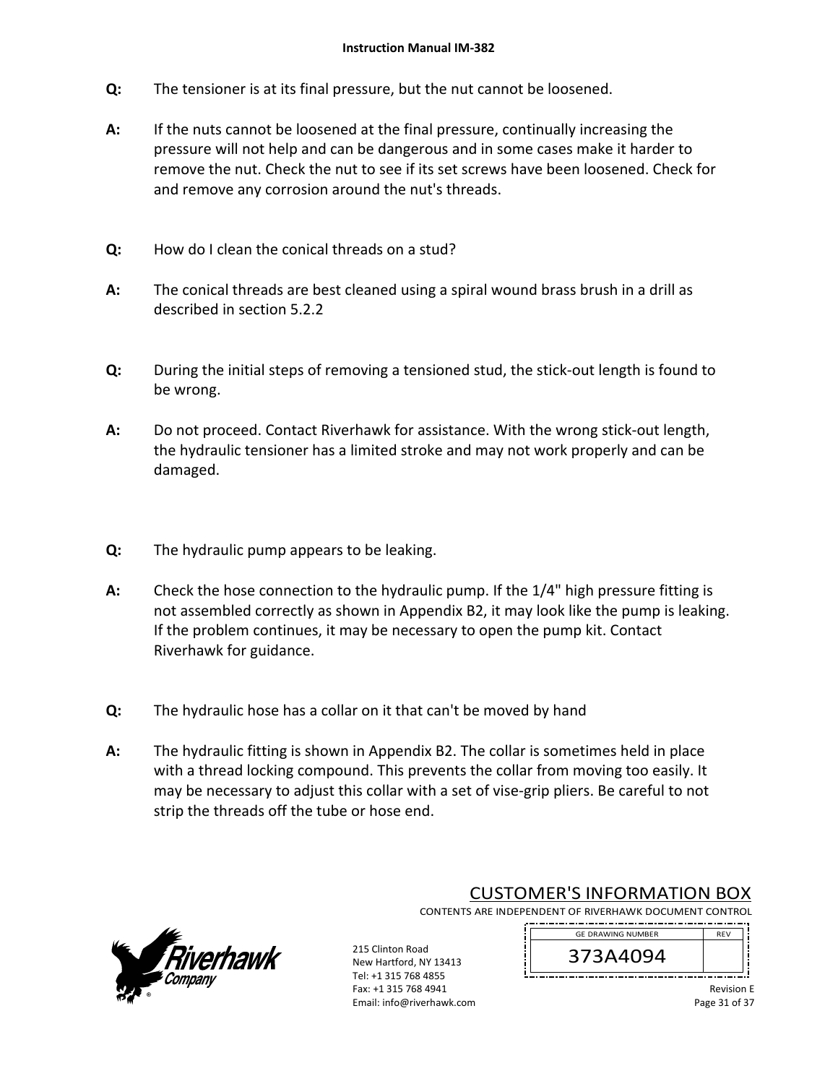- **Q:**  The tensioner is at its final pressure, but the nut cannot be loosened.
- **A:**  If the nuts cannot be loosened at the final pressure, continually increasing the pressure will not help and can be dangerous and in some cases make it harder to remove the nut. Check the nut to see if its set screws have been loosened. Check for and remove any corrosion around the nut's threads.
- **Q:**  How do I clean the conical threads on a stud?
- **A:**  The conical threads are best cleaned using a spiral wound brass brush in a drill as described in section 5.2.2
- **Q:**  During the initial steps of removing a tensioned stud, the stick‐out length is found to be wrong.
- **A:**  Do not proceed. Contact Riverhawk for assistance. With the wrong stick-out length, the hydraulic tensioner has a limited stroke and may not work properly and can be damaged.
- **Q:**  The hydraulic pump appears to be leaking.
- **A:**  Check the hose connection to the hydraulic pump. If the 1/4" high pressure fitting is not assembled correctly as shown in Appendix B2, it may look like the pump is leaking. If the problem continues, it may be necessary to open the pump kit. Contact Riverhawk for guidance.
- **Q:**  The hydraulic hose has a collar on it that can't be moved by hand
- **A:**  The hydraulic fitting is shown in Appendix B2. The collar is sometimes held in place with a thread locking compound. This prevents the collar from moving too easily. It may be necessary to adjust this collar with a set of vise-grip pliers. Be careful to not strip the threads off the tube or hose end.



# CUSTOMER'S INFORMATION BOX

CONTENTS ARE INDEPENDENT OF RIVERHAWK DOCUMENT CONTROL 

215 Clinton Road New Hartford, NY 13413 Tel: +1 315 768 4855 Fax: +1 315 768 4941 Email: info@riverhawk.com 373A4094 GE DRAWING NUMBER

> Revision E Page 31 of 37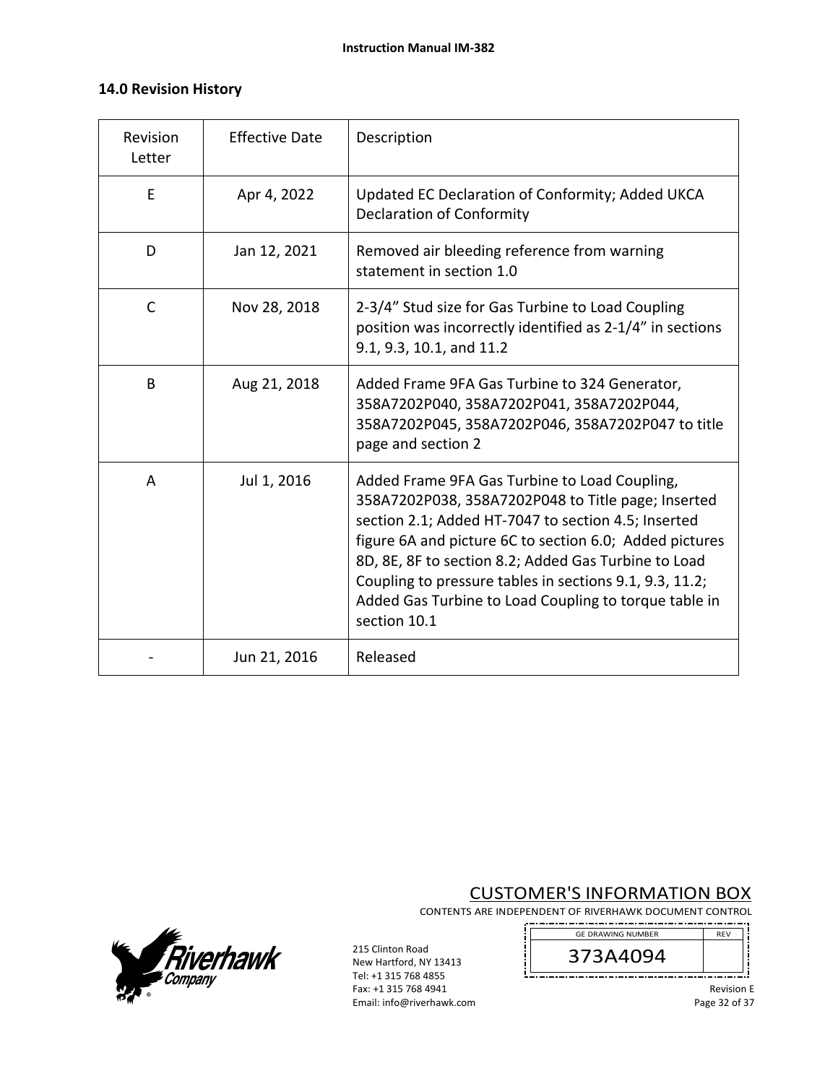# **14.0 Revision History**

| Revision<br>Letter | <b>Effective Date</b> | Description                                                                                                                                                                                                                                                                                                                                                                                                       |
|--------------------|-----------------------|-------------------------------------------------------------------------------------------------------------------------------------------------------------------------------------------------------------------------------------------------------------------------------------------------------------------------------------------------------------------------------------------------------------------|
| E                  | Apr 4, 2022           | Updated EC Declaration of Conformity; Added UKCA<br><b>Declaration of Conformity</b>                                                                                                                                                                                                                                                                                                                              |
| D                  | Jan 12, 2021          | Removed air bleeding reference from warning<br>statement in section 1.0                                                                                                                                                                                                                                                                                                                                           |
| $\mathsf{C}$       | Nov 28, 2018          | 2-3/4" Stud size for Gas Turbine to Load Coupling<br>position was incorrectly identified as 2-1/4" in sections<br>9.1, 9.3, 10.1, and 11.2                                                                                                                                                                                                                                                                        |
| B                  | Aug 21, 2018          | Added Frame 9FA Gas Turbine to 324 Generator,<br>358A7202P040, 358A7202P041, 358A7202P044,<br>358A7202P045, 358A7202P046, 358A7202P047 to title<br>page and section 2                                                                                                                                                                                                                                             |
| A                  | Jul 1, 2016           | Added Frame 9FA Gas Turbine to Load Coupling,<br>358A7202P038, 358A7202P048 to Title page; Inserted<br>section 2.1; Added HT-7047 to section 4.5; Inserted<br>figure 6A and picture 6C to section 6.0; Added pictures<br>8D, 8E, 8F to section 8.2; Added Gas Turbine to Load<br>Coupling to pressure tables in sections 9.1, 9.3, 11.2;<br>Added Gas Turbine to Load Coupling to torque table in<br>section 10.1 |
|                    | Jun 21, 2016          | Released                                                                                                                                                                                                                                                                                                                                                                                                          |

# CUSTOMER'S INFORMATION BOX

CONTENTS ARE INDEPENDENT OF RIVERHAWK DOCUMENT CONTROL \_\_\_\_\_\_\_\_\_\_\_\_\_\_\_\_\_\_\_\_

į



215 Clinton Road New Hartford, NY 13413 Tel: +1 315 768 4855 Fax: +1 315 768 4941 Email: info@riverhawk.com

GE DRAWING NUMBER REV 373A4094 \_\_\_\_\_\_\_\_\_\_\_\_\_\_\_\_\_\_\_\_\_

> Revision E Page 32 of 37

u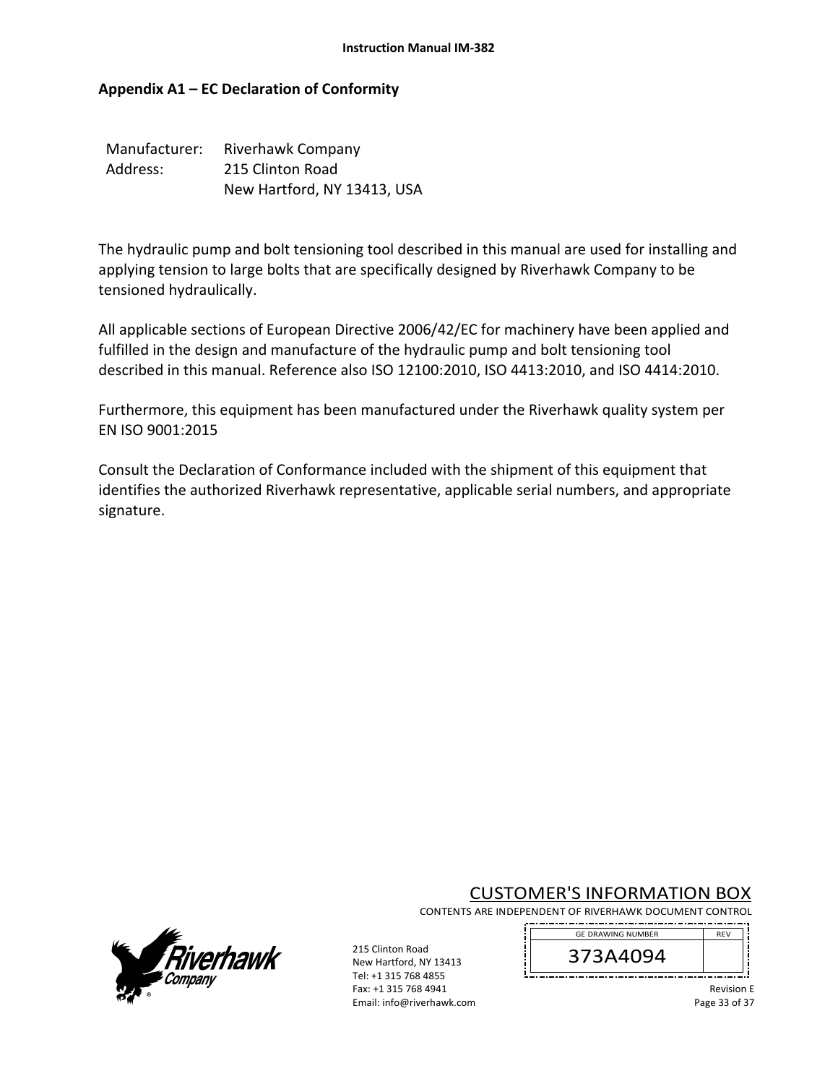# **Appendix A1 – EC Declaration of Conformity**

| Manufacturer: | Riverhawk Company           |
|---------------|-----------------------------|
| Address:      | 215 Clinton Road            |
|               | New Hartford, NY 13413, USA |

The hydraulic pump and bolt tensioning tool described in this manual are used for installing and applying tension to large bolts that are specifically designed by Riverhawk Company to be tensioned hydraulically.

All applicable sections of European Directive 2006/42/EC for machinery have been applied and fulfilled in the design and manufacture of the hydraulic pump and bolt tensioning tool described in this manual. Reference also ISO 12100:2010, ISO 4413:2010, and ISO 4414:2010.

Furthermore, this equipment has been manufactured under the Riverhawk quality system per EN ISO 9001:2015

Consult the Declaration of Conformance included with the shipment of this equipment that identifies the authorized Riverhawk representative, applicable serial numbers, and appropriate signature.

CUSTOMER'S INFORMATION BOX

CONTENTS ARE INDEPENDENT OF RIVERHAWK DOCUMENT CONTROL 



215 Clinton Road New Hartford, NY 13413 Tel: +1 315 768 4855 Fax: +1 315 768 4941 Email: info@riverhawk.com

REV 373A4094 GE DRAWING NUMBER

> Revision E Page 33 of 37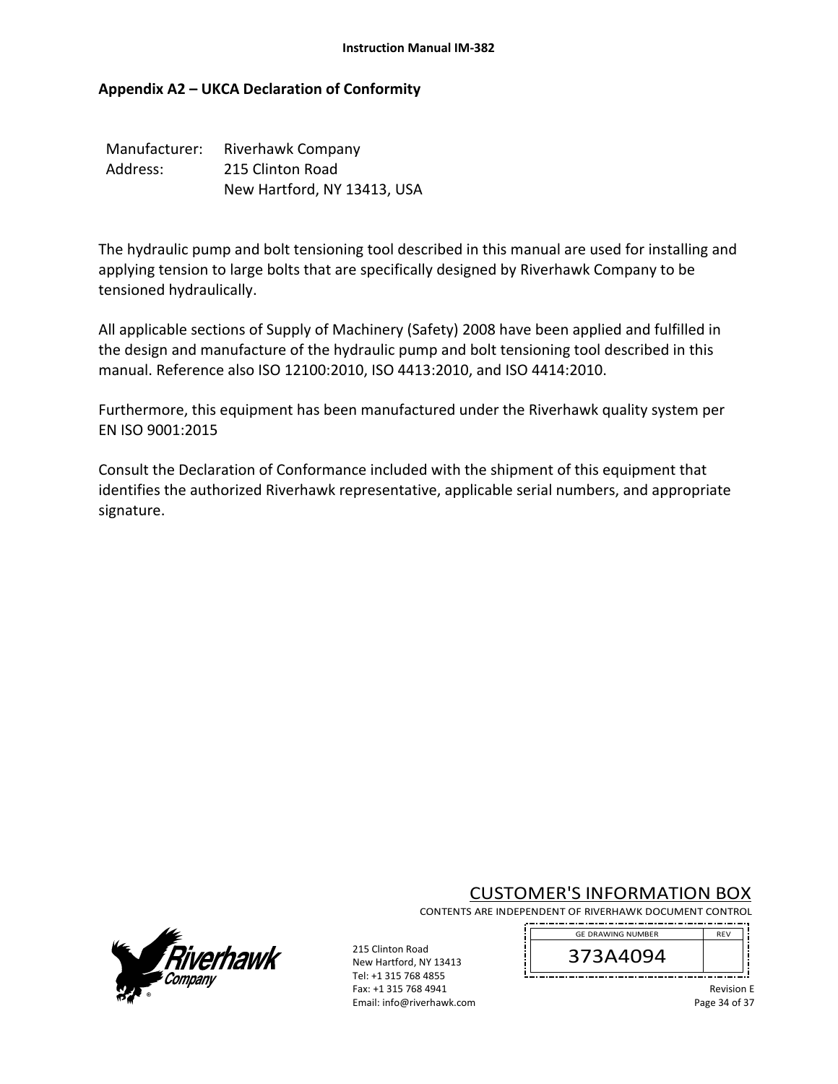# **Appendix A2 – UKCA Declaration of Conformity**

| Manufacturer: | <b>Riverhawk Company</b>    |
|---------------|-----------------------------|
| Address:      | 215 Clinton Road            |
|               | New Hartford, NY 13413, USA |

The hydraulic pump and bolt tensioning tool described in this manual are used for installing and applying tension to large bolts that are specifically designed by Riverhawk Company to be tensioned hydraulically.

All applicable sections of Supply of Machinery (Safety) 2008 have been applied and fulfilled in the design and manufacture of the hydraulic pump and bolt tensioning tool described in this manual. Reference also ISO 12100:2010, ISO 4413:2010, and ISO 4414:2010.

Furthermore, this equipment has been manufactured under the Riverhawk quality system per EN ISO 9001:2015

Consult the Declaration of Conformance included with the shipment of this equipment that identifies the authorized Riverhawk representative, applicable serial numbers, and appropriate signature.

CUSTOMER'S INFORMATION BOX





215 Clinton Road New Hartford, NY 13413 Tel: +1 315 768 4855 Fax: +1 315 768 4941 Email: info@riverhawk.com

REV 373A4094 GE DRAWING NUMBER

> Revision E Page 34 of 37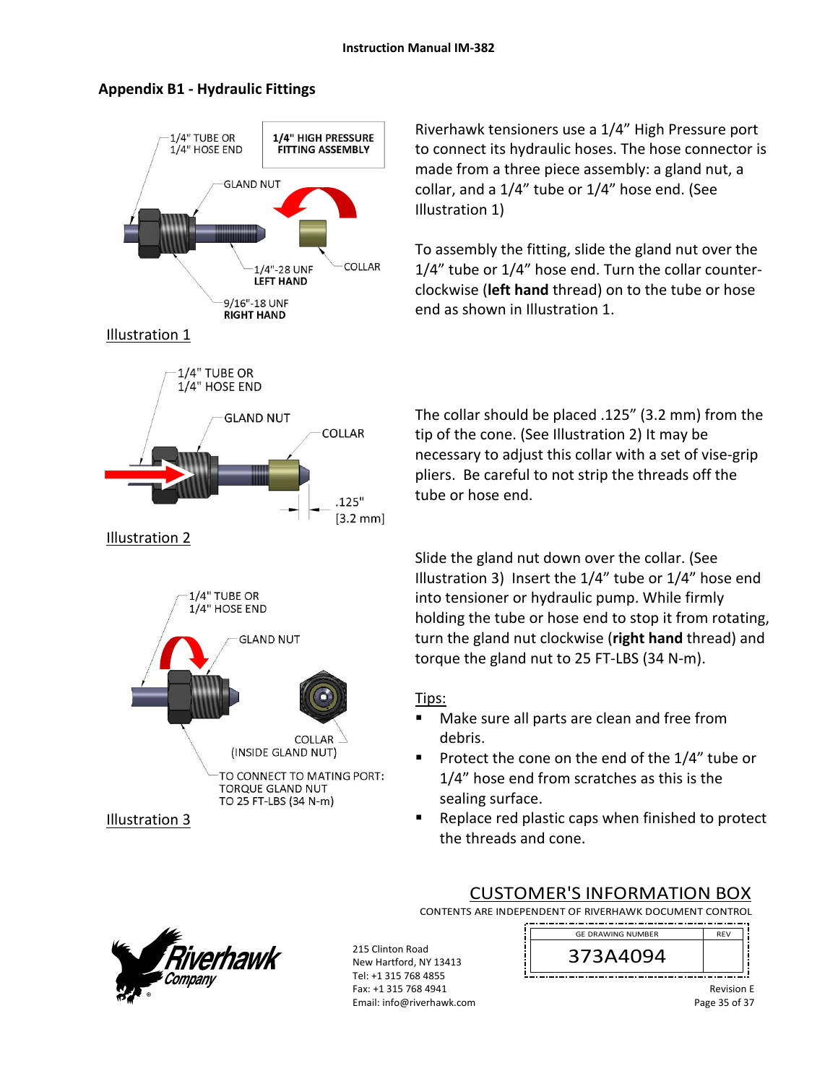

### **Appendix B1 ‐ Hydraulic Fittings**

Riverhawk tensioners use a 1/4" High Pressure port to connect its hydraulic hoses. The hose connector is made from a three piece assembly: a gland nut, a collar, and a 1/4" tube or 1/4" hose end. (See Illustration 1)

To assembly the fitting, slide the gland nut over the 1/4" tube or 1/4" hose end. Turn the collar counter‐ clockwise (**left hand** thread) on to the tube or hose end as shown in Illustration 1.

The collar should be placed .125" (3.2 mm) from the tip of the cone. (See Illustration 2) It may be necessary to adjust this collar with a set of vise‐grip pliers. Be careful to not strip the threads off the tube or hose end.

Slide the gland nut down over the collar. (See Illustration 3) Insert the 1/4" tube or 1/4" hose end into tensioner or hydraulic pump. While firmly holding the tube or hose end to stop it from rotating, turn the gland nut clockwise (**right hand** thread) and torque the gland nut to 25 FT‐LBS (34 N‐m).

# Tips:

- Make sure all parts are clean and free from debris.
- Protect the cone on the end of the  $1/4$ " tube or 1/4" hose end from scratches as this is the sealing surface.
- Replace red plastic caps when finished to protect the threads and cone.

CONTENTS ARE INDEPENDENT OF RIVERHAWK DOCUMENT CONTROL

CUSTOMER'S INFORMATION BOX



215 Clinton Road New Hartford, NY 13413 Tel: +1 315 768 4855 Fax: +1 315 768 4941 Email: info@riverhawk.com



Revision E Page 35 of 37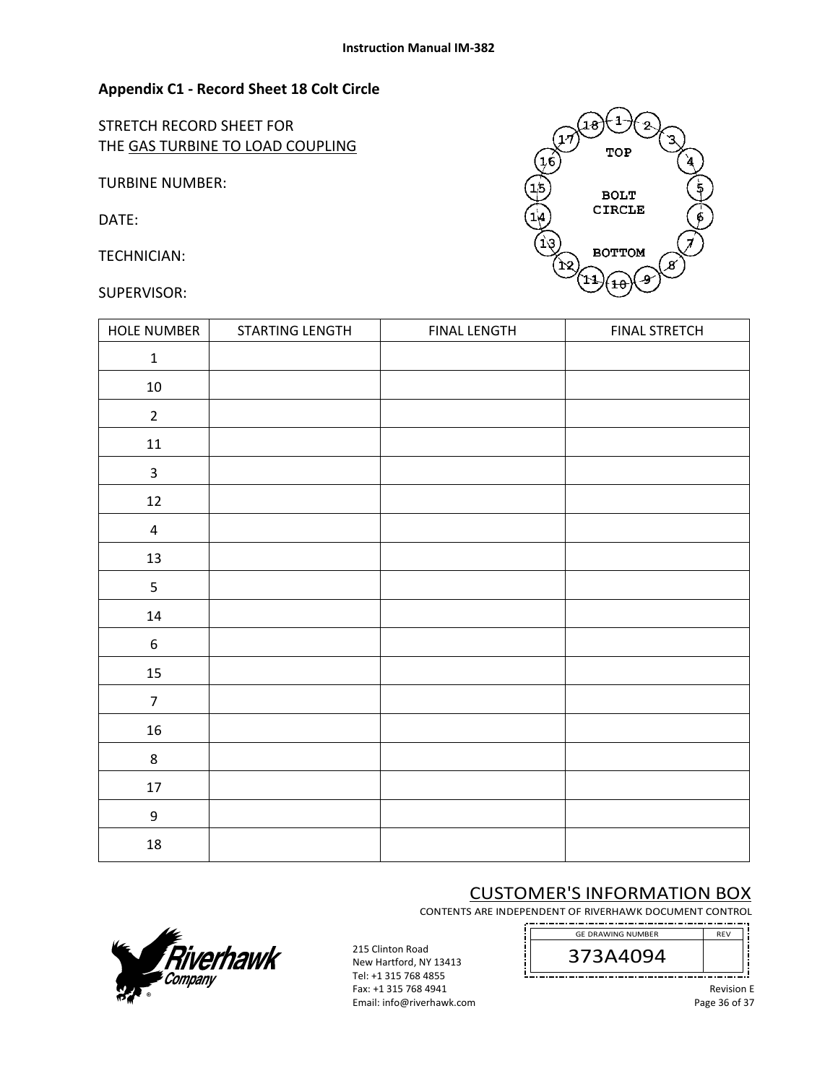#### **Appendix C1 ‐ Record Sheet 18 Colt Circle**

STRETCH RECORD SHEET FOR THE GAS TURBINE TO LOAD COUPLING

TURBINE NUMBER:

DATE:

TECHNICIAN:

#### SUPERVISOR:



| HOLE NUMBER             | STARTING LENGTH | <b>FINAL LENGTH</b> | <b>FINAL STRETCH</b> |
|-------------------------|-----------------|---------------------|----------------------|
| $\mathbf 1$             |                 |                     |                      |
| $10\,$                  |                 |                     |                      |
| $\overline{2}$          |                 |                     |                      |
| $11\,$                  |                 |                     |                      |
| $\mathsf{3}$            |                 |                     |                      |
| $12\,$                  |                 |                     |                      |
| $\overline{\mathbf{4}}$ |                 |                     |                      |
| 13                      |                 |                     |                      |
| 5                       |                 |                     |                      |
| $14\,$                  |                 |                     |                      |
| $\boldsymbol{6}$        |                 |                     |                      |
| 15                      |                 |                     |                      |
| $\overline{7}$          |                 |                     |                      |
| 16                      |                 |                     |                      |
| 8                       |                 |                     |                      |
| $17\,$                  |                 |                     |                      |
| $\boldsymbol{9}$        |                 |                     |                      |
| 18                      |                 |                     |                      |

# CUSTOMER'S INFORMATION BOX

CONTENTS ARE INDEPENDENT OF RIVERHAWK DOCUMENT CONTROL . \_\_ . \_ . \_ . \_ . \_ . \_ . \_ . \_



215 Clinton Road New Hartford, NY 13413 Tel: +1 315 768 4855 Fax: +1 315 768 4941 Email: info@riverhawk.com 373A4094 GE DRAWING NUMBER

> Revision E Page 36 of 37